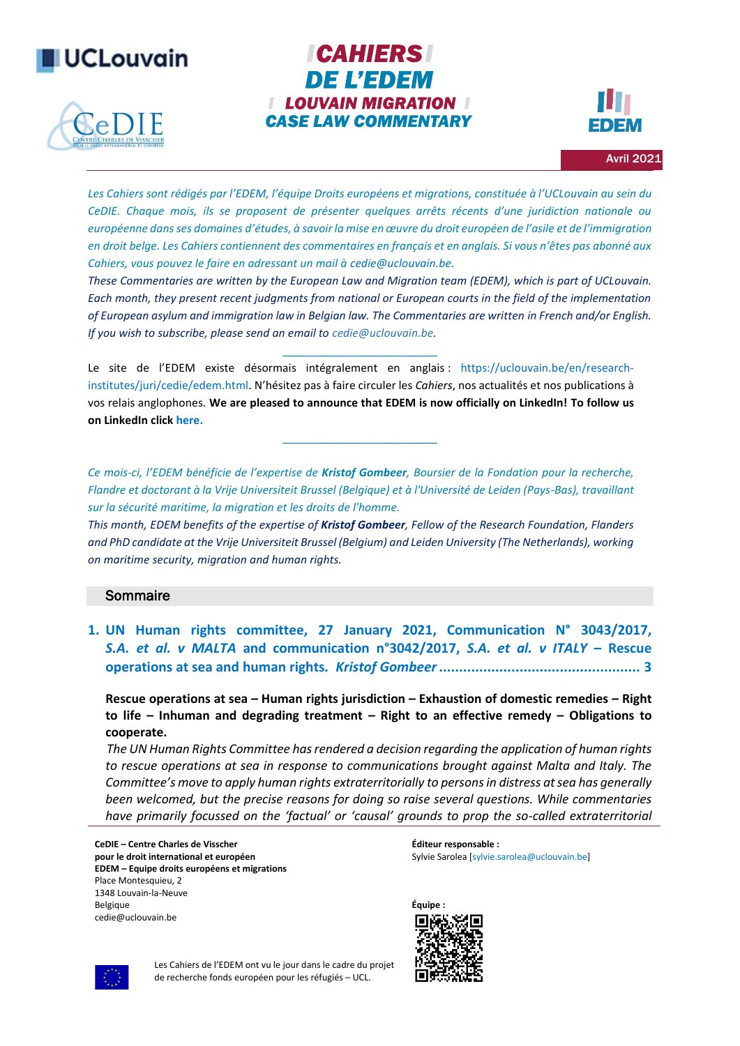



# **ICAHIERS DE L'EDEM I LOUVAIN MIGRATION I CASE LAW COMMENTARY**



Avril 2021

*Les Cahiers sont rédigés par l'[EDEM](http://www.uclouvain.be/423125), l'équipe Droits européens et migrations, constituée à l'UCLouvain au sein du CeDIE. Chaque mois, ils se proposent de présenter quelques arrêts récents d'une juridiction nationale ou européenne dans ses domaines d'études, à savoir la mise en œuvre du droit européen de l'asile et de l'immigration en droit belge. Les Cahiers contiennent des commentaires en français et en anglais. Si vous n'êtes pas abonné aux Cahiers, vous pouvez le faire en adressant un mail [à cedie@uclouvain.be.](mailto:cedie@uclouvain.be)*

*These Commentaries are written by the European Law and Migration team (EDEM), which is part of UCLouvain. Each month, they present recent judgments from national or European courts in the field of the implementation of European asylum and immigration law in Belgian law. The Commentaries are written in French and/or English. If you wish to subscribe, please send an email to [cedie@uclouvain.be.](mailto:cedie@uclouvain.be)*

Le site de l'EDEM existe désormais intégralement en anglais : [https://uclouvain.be/en/research](https://uclouvain.be/en/research-institutes/juri/cedie/edem.html)[institutes/juri/cedie/edem.html](https://uclouvain.be/en/research-institutes/juri/cedie/edem.html). N'hésitez pas à faire circuler les *Cahiers*, nos actualités et nos publications à vos relais anglophones. **We are pleased to announce that EDEM is now officially on LinkedIn! To follow us on LinkedIn clic[k here.](https://www.linkedin.com/company/37572750)** 

*\_\_\_\_\_\_\_\_\_\_\_\_\_\_\_\_\_\_\_\_\_\_\_\_\_*

*\_\_\_\_\_\_\_\_\_\_\_\_\_\_\_\_\_\_\_\_\_\_\_\_\_*

*Ce mois-ci, l'EDEM bénéficie de l'expertise de Kristof Gombeer, Boursier de la Fondation pour la recherche, Flandre et doctorant à la Vrije Universiteit Brussel (Belgique) et à l'Université de Leiden (Pays-Bas), travaillant sur la sécurité maritime, la migration et les droits de l'homme.*

*This month, EDEM benefits of the expertise of Kristof Gombeer, Fellow of the Research Foundation, Flanders and PhD candidate at the Vrije Universiteit Brussel (Belgium) and Leiden University (The Netherlands), working on maritime security, migration and human rights.*

## **Sommaire**

**1. [UN Human rights committee, 27 January](#page-2-0) 2021, Communication N° 3043/2017,**  *S.A. et al. v MALTA* **[and communication n°3042/2017,](#page-2-0)** *S.A. et al. v ITALY* **– Rescue [operations at sea and human rights](#page-2-0)***. Kristof Gombeer***.................................................. 3**

**Rescue operations at sea – Human rights jurisdiction – Exhaustion of domestic remedies – Right to life – Inhuman and degrading treatment – Right to an effective remedy – Obligations to cooperate.**

 *The UN Human Rights Committee has rendered a decision regarding the application of human rights to rescue operations at sea in response to communications brought against Malta and Italy. The Committee's move to apply human rights extraterritorially to persons in distress at sea has generally been welcomed, but the precise reasons for doing so raise several questions. While commentaries have primarily focussed on the 'factual' or 'causal' grounds to prop the so-called extraterritorial* 

**CeDIE – Centre Charles de Visscher pour le droit international et européen EDEM – Equipe droits européens et migrations** Place Montesquieu, 2 1348 Louvain-la-Neuve Belgique cedie@uclouvain.be

**Éditeur responsable :** Sylvie Sarolea [\[sylvie.sarolea@uclouvain.be\]](mailto:sylvie.sarolea@uclouvain.be)





Les Cahiers de l'EDEM ont vu le jour dans le cadre du projet de recherche fonds européen pour les réfugiés – UCL.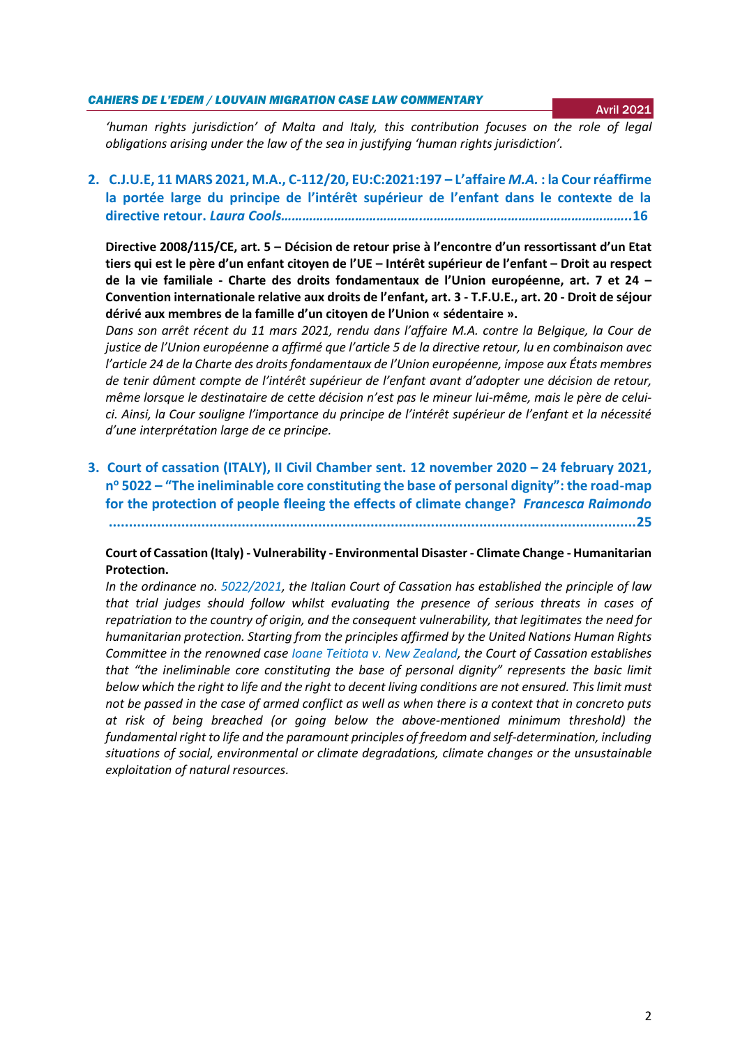#### *CAHIERS DE L'EDEM / LOUVAIN MIGRATION CASE LAW COMMENTARY*

*'human rights jurisdiction' of Malta and Italy, this contribution focuses on the role of legal obligations arising under the law of the sea in justifying 'human rights jurisdiction'.*

## **2. C.J.U.E, 11 MARS 2021, M.A., C-112/20, EU:C:2021:197 – L'affaire** *M.A.* **[: la Cour réaffirme](#page-15-0)  [la portée large du principe de l'intérêt supérieur de l'enfant dans le contexte de la](#page-15-0)  directive retour.** *[Laura Cools………………………………….…………………………………………………..](#page-15-0)***16**

**Directive 2008/115/CE, art. 5 – Décision de retour prise à l'encontre d'un ressortissant d'un Etat tiers qui est le père d'un enfant citoyen de l'UE – Intérêt supérieur de l'enfant – Droit au respect de la vie familiale - Charte des droits fondamentaux de l'Union européenne, art. 7 et 24 – Convention internationale relative aux droits de l'enfant, art. 3 - T.F.U.E., art. 20 - Droit de séjour dérivé aux membres de la famille d'un citoyen de l'Union « sédentaire ».**

*Dans son arrêt récent du 11 mars 2021, rendu dans l'affaire M.A. contre la Belgique, la Cour de justice de l'Union européenne a affirmé que l'article 5 de la directive retour, lu en combinaison avec l'article 24 de la Charte des droits fondamentaux de l'Union européenne, impose aux États membres de tenir dûment compte de l'intérêt supérieur de l'enfant avant d'adopter une décision de retour, même lorsque le destinataire de cette décision n'est pas le mineur lui-même, mais le père de celuici. Ainsi, la Cour souligne l'importance du principe de l'intérêt supérieur de l'enfant et la nécessité d'une interprétation large de ce principe.*

**3. [Court of cassation \(ITALY\), II Civil Chamber sent. 12 november 2020](#page-24-0) – 24 february 2021, n <sup>o</sup> 5022 – ["The ineliminable core constituting the base of personal dignity": the road](#page-24-0)-map for the protection of people [fleeing the effects of climate change?](#page-24-0)** *Francesca Raimondo* **[...................................................................................................................................25](#page-24-0)**

## **Court of Cassation (Italy) - Vulnerability - Environmental Disaster - Climate Change - Humanitarian Protection.**

*In the ordinance no. [5022/2021,](http://dirittifondamentali.it/wp-content/uploads/2021/03/Cass.-civ.-5022-2021.pdf) the Italian Court of Cassation has established the principle of law that trial judges should follow whilst evaluating the presence of serious threats in cases of repatriation to the country of origin, and the consequent vulnerability, that legitimates the need for humanitarian protection. Starting from the principles affirmed by the United Nations Human Rights Committee in the renowned case [Ioane Teitiota v. New Zealand,](https://tbinternet.ohchr.org/_layouts/15/treatybodyexternal/Download.aspx?symbolno=CCPR/C/127/D/2728/2016&Lang=en) the Court of Cassation establishes that "the ineliminable core constituting the base of personal dignity" represents the basic limit below which the right to life and the right to decent living conditions are not ensured. This limit must not be passed in the case of armed conflict as well as when there is a context that in concreto puts at risk of being breached (or going below the above-mentioned minimum threshold) the fundamental right to life and the paramount principles of freedom and self-determination, including situations of social, environmental or climate degradations, climate changes or the unsustainable exploitation of natural resources.*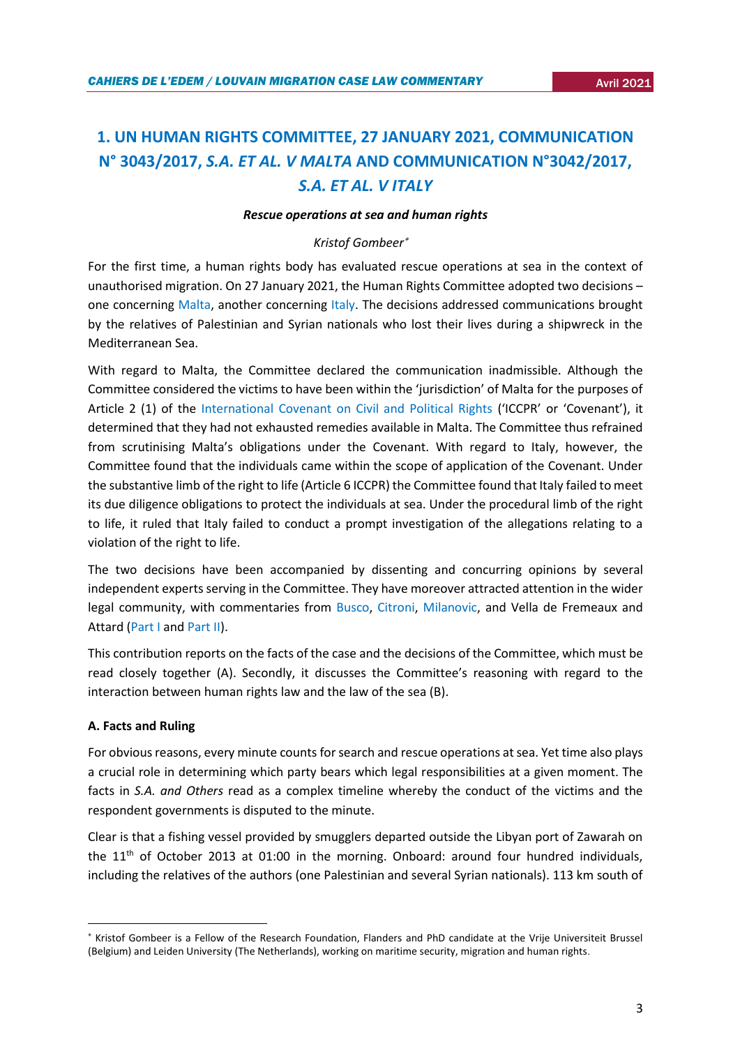# <span id="page-2-0"></span>**1. UN HUMAN RIGHTS COMMITTEE, 27 JANUARY 2021, COMMUNICATION N° 3043/2017,** *S.A. ET AL. V MALTA* **AND COMMUNICATION N°3042/2017,**  *S.A. ET AL. V ITALY*

## *Rescue operations at sea and human rights*

## *Kristof Gombeer*

For the first time, a human rights body has evaluated rescue operations at sea in the context of unauthorised migration. On 27 January 2021, the Human Rights Committee adopted two decisions – one concerning [Malta,](https://tbinternet.ohchr.org/_layouts/15/treatybodyexternal/Download.aspx?symbolno=CCPR/C/128/D/3043/2017&Lang=en) another concerning [Italy.](https://www.google.com/url?sa=t&rct=j&q=&esrc=s&source=web&cd=&ved=2ahUKEwjS8pDguY3wAhWK3KQKHUaIALsQFjAAegQICBAD&url=https%3A%2F%2Ftbinternet.ohchr.org%2FTreaties%2FCCPR%2FShared%2520Documents%2FITA%2FCCPR_C_130_DR_3042_2017_32338_E.docx&usg=AOvVaw3iA5Z1L9gw-vc3731GIzbQ) The decisions addressed communications brought by the relatives of Palestinian and Syrian nationals who lost their lives during a shipwreck in the Mediterranean Sea.

With regard to Malta, the Committee declared the communication inadmissible. Although the Committee considered the victims to have been within the 'jurisdiction' of Malta for the purposes of Article 2 (1) of the [International Covenant on Civil and Political Rights](https://www.ohchr.org/en/professionalinterest/pages/ccpr.aspx) ('ICCPR' or 'Covenant'), it determined that they had not exhausted remedies available in Malta. The Committee thus refrained from scrutinising Malta's obligations under the Covenant. With regard to Italy, however, the Committee found that the individuals came within the scope of application of the Covenant. Under the substantive limb of the right to life (Article 6 ICCPR) the Committee found that Italy failed to meet its due diligence obligations to protect the individuals at sea. Under the procedural limb of the right to life, it ruled that Italy failed to conduct a prompt investigation of the allegations relating to a violation of the right to life.

The two decisions have been accompanied by dissenting and concurring opinions by several independent experts serving in the Committee. They have moreover attracted attention in the wider legal community, with commentaries from [Busco,](https://opiniojuris.org/2021/03/02/not-all-that-glitters-is-gold-the-human-rights-committees-test-for-the-extraterritorial-application-of-the-iccpr-in-the-context-of-search-and-rescue-operations/) [Citroni,](https://opiniojuris.org/2021/03/09/no-more-elusion-of-responsibility-for-rescue-operations-at-sea-the-human-rights-committees-views-on-the-case-a-s-d-i-o-i-and-g-d-v-italy-and-malta/) [Milanovic,](https://www.ejiltalk.org/drowning-migrants-the-human-rights-committee-and-extraterritorial-human-rights-obligations/) and Vella de Fremeaux and Attard [\(Part I](http://opiniojuris.org/2021/03/03/rescue-at-sea-and-the-establishment-of-jurisdiction-new-direction-from-the-human-rights-committee-part-i/) and [Part II\)](http://opiniojuris.org/2021/03/03/rescue-at-sea-and-the-establishment-of-jurisdiction-new-direction-from-the-human-rights-part-ii-committee/).

This contribution reports on the facts of the case and the decisions of the Committee, which must be read closely together (A). Secondly, it discusses the Committee's reasoning with regard to the interaction between human rights law and the law of the sea (B).

## **A. Facts and Ruling**

**.** 

For obvious reasons, every minute counts for search and rescue operations at sea. Yet time also plays a crucial role in determining which party bears which legal responsibilities at a given moment. The facts in *S.A. and Others* read as a complex timeline whereby the conduct of the victims and the respondent governments is disputed to the minute.

Clear is that a fishing vessel provided by smugglers departed outside the Libyan port of Zawarah on the  $11<sup>th</sup>$  of October 2013 at 01:00 in the morning. Onboard: around four hundred individuals, including the relatives of the authors (one Palestinian and several Syrian nationals). 113 km south of

Kristof Gombeer is a Fellow of the Research Foundation, Flanders and PhD candidate at the Vrije Universiteit Brussel (Belgium) and Leiden University (The Netherlands), working on maritime security, migration and human rights.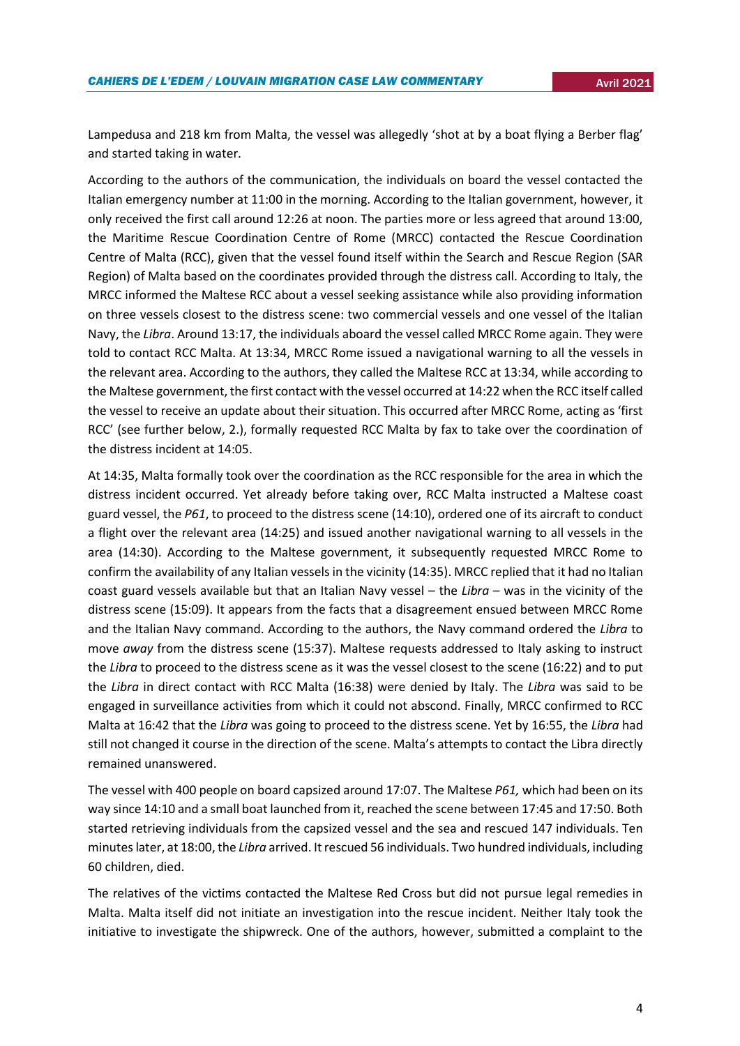Lampedusa and 218 km from Malta, the vessel was allegedly 'shot at by a boat flying a Berber flag' and started taking in water.

According to the authors of the communication, the individuals on board the vessel contacted the Italian emergency number at 11:00 in the morning. According to the Italian government, however, it only received the first call around 12:26 at noon. The parties more or less agreed that around 13:00, the Maritime Rescue Coordination Centre of Rome (MRCC) contacted the Rescue Coordination Centre of Malta (RCC), given that the vessel found itself within the Search and Rescue Region (SAR Region) of Malta based on the coordinates provided through the distress call. According to Italy, the MRCC informed the Maltese RCC about a vessel seeking assistance while also providing information on three vessels closest to the distress scene: two commercial vessels and one vessel of the Italian Navy, the *Libra*. Around 13:17, the individuals aboard the vessel called MRCC Rome again. They were told to contact RCC Malta. At 13:34, MRCC Rome issued a navigational warning to all the vessels in the relevant area. According to the authors, they called the Maltese RCC at 13:34, while according to the Maltese government, the first contact with the vessel occurred at 14:22 when the RCC itself called the vessel to receive an update about their situation. This occurred after MRCC Rome, acting as 'first RCC' (see further below, 2.), formally requested RCC Malta by fax to take over the coordination of the distress incident at 14:05.

At 14:35, Malta formally took over the coordination as the RCC responsible for the area in which the distress incident occurred. Yet already before taking over, RCC Malta instructed a Maltese coast guard vessel, the *P61*, to proceed to the distress scene (14:10), ordered one of its aircraft to conduct a flight over the relevant area (14:25) and issued another navigational warning to all vessels in the area (14:30). According to the Maltese government, it subsequently requested MRCC Rome to confirm the availability of any Italian vessels in the vicinity (14:35). MRCC replied that it had no Italian coast guard vessels available but that an Italian Navy vessel – the *Libra* – was in the vicinity of the distress scene (15:09). It appears from the facts that a disagreement ensued between MRCC Rome and the Italian Navy command. According to the authors, the Navy command ordered the *Libra* to move *away* from the distress scene (15:37). Maltese requests addressed to Italy asking to instruct the *Libra* to proceed to the distress scene as it was the vessel closest to the scene (16:22) and to put the *Libra* in direct contact with RCC Malta (16:38) were denied by Italy. The *Libra* was said to be engaged in surveillance activities from which it could not abscond. Finally, MRCC confirmed to RCC Malta at 16:42 that the *Libra* was going to proceed to the distress scene. Yet by 16:55, the *Libra* had still not changed it course in the direction of the scene. Malta's attempts to contact the Libra directly remained unanswered.

The vessel with 400 people on board capsized around 17:07. The Maltese *P61,* which had been on its way since 14:10 and a small boat launched from it, reached the scene between 17:45 and 17:50. Both started retrieving individuals from the capsized vessel and the sea and rescued 147 individuals. Ten minutes later, at 18:00, the *Libra* arrived. It rescued 56 individuals. Two hundred individuals, including 60 children, died.

The relatives of the victims contacted the Maltese Red Cross but did not pursue legal remedies in Malta. Malta itself did not initiate an investigation into the rescue incident. Neither Italy took the initiative to investigate the shipwreck. One of the authors, however, submitted a complaint to the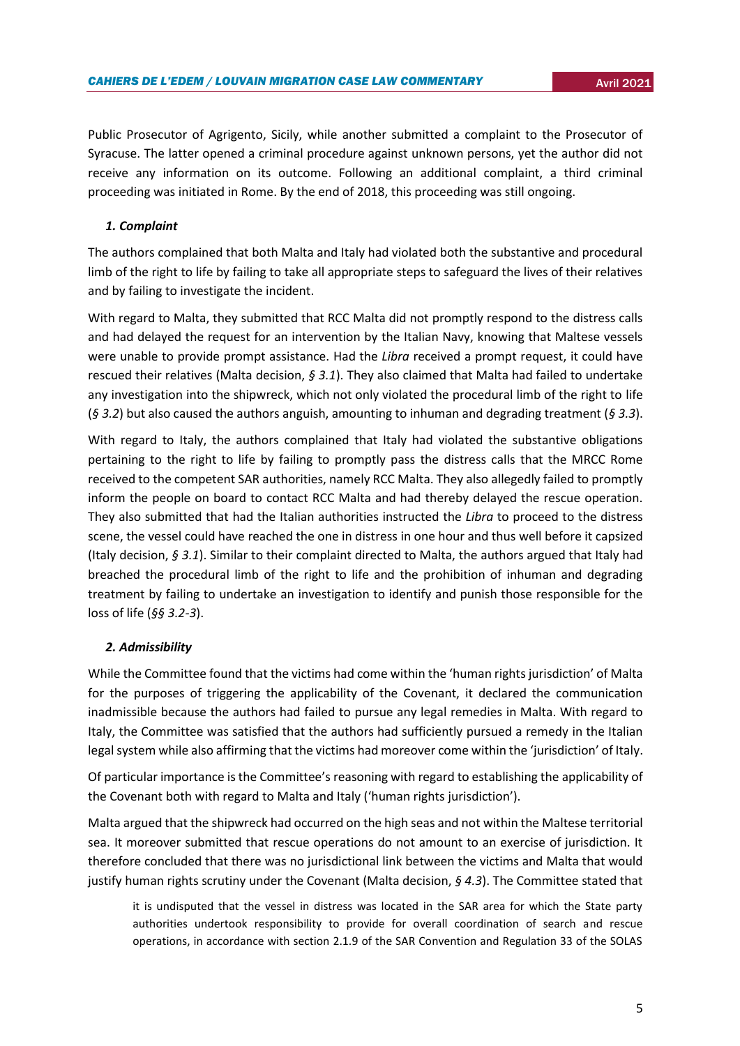Public Prosecutor of Agrigento, Sicily, while another submitted a complaint to the Prosecutor of Syracuse. The latter opened a criminal procedure against unknown persons, yet the author did not receive any information on its outcome. Following an additional complaint, a third criminal proceeding was initiated in Rome. By the end of 2018, this proceeding was still ongoing.

## *1. Complaint*

The authors complained that both Malta and Italy had violated both the substantive and procedural limb of the right to life by failing to take all appropriate steps to safeguard the lives of their relatives and by failing to investigate the incident.

With regard to Malta, they submitted that RCC Malta did not promptly respond to the distress calls and had delayed the request for an intervention by the Italian Navy, knowing that Maltese vessels were unable to provide prompt assistance. Had the *Libra* received a prompt request, it could have rescued their relatives (Malta decision, *§ 3.1*). They also claimed that Malta had failed to undertake any investigation into the shipwreck, which not only violated the procedural limb of the right to life (*§ 3.2*) but also caused the authors anguish, amounting to inhuman and degrading treatment (*§ 3.3*).

With regard to Italy, the authors complained that Italy had violated the substantive obligations pertaining to the right to life by failing to promptly pass the distress calls that the MRCC Rome received to the competent SAR authorities, namely RCC Malta. They also allegedly failed to promptly inform the people on board to contact RCC Malta and had thereby delayed the rescue operation. They also submitted that had the Italian authorities instructed the *Libra* to proceed to the distress scene, the vessel could have reached the one in distress in one hour and thus well before it capsized (Italy decision, *§ 3.1*). Similar to their complaint directed to Malta, the authors argued that Italy had breached the procedural limb of the right to life and the prohibition of inhuman and degrading treatment by failing to undertake an investigation to identify and punish those responsible for the loss of life (*§§ 3.2-3*).

## *2. Admissibility*

While the Committee found that the victims had come within the 'human rights jurisdiction' of Malta for the purposes of triggering the applicability of the Covenant, it declared the communication inadmissible because the authors had failed to pursue any legal remedies in Malta. With regard to Italy, the Committee was satisfied that the authors had sufficiently pursued a remedy in the Italian legal system while also affirming that the victims had moreover come within the 'jurisdiction' of Italy.

Of particular importance is the Committee's reasoning with regard to establishing the applicability of the Covenant both with regard to Malta and Italy ('human rights jurisdiction').

Malta argued that the shipwreck had occurred on the high seas and not within the Maltese territorial sea. It moreover submitted that rescue operations do not amount to an exercise of jurisdiction. It therefore concluded that there was no jurisdictional link between the victims and Malta that would justify human rights scrutiny under the Covenant (Malta decision, *§ 4.3*). The Committee stated that

it is undisputed that the vessel in distress was located in the SAR area for which the State party authorities undertook responsibility to provide for overall coordination of search and rescue operations, in accordance with section 2.1.9 of the SAR Convention and Regulation 33 of the SOLAS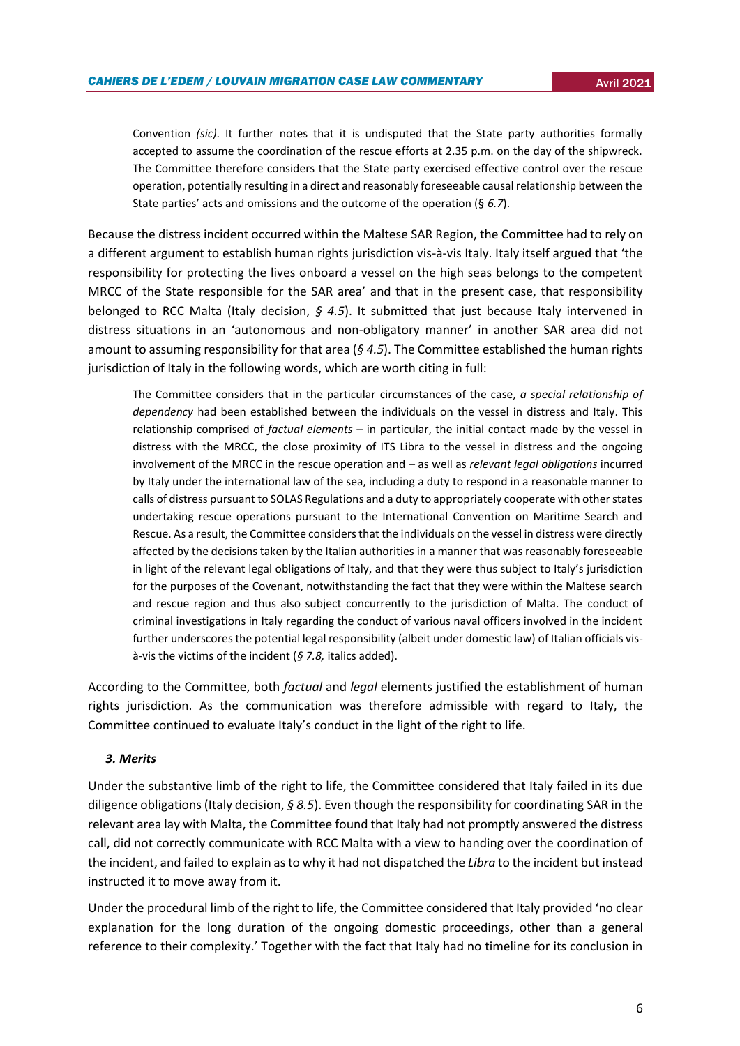Convention *(sic)*. It further notes that it is undisputed that the State party authorities formally accepted to assume the coordination of the rescue efforts at 2.35 p.m. on the day of the shipwreck. The Committee therefore considers that the State party exercised effective control over the rescue operation, potentially resulting in a direct and reasonably foreseeable causal relationship between the State parties' acts and omissions and the outcome of the operation (§ *6.7*).

Because the distress incident occurred within the Maltese SAR Region, the Committee had to rely on a different argument to establish human rights jurisdiction vis-à-vis Italy. Italy itself argued that 'the responsibility for protecting the lives onboard a vessel on the high seas belongs to the competent MRCC of the State responsible for the SAR area' and that in the present case, that responsibility belonged to RCC Malta (Italy decision, *§ 4.5*). It submitted that just because Italy intervened in distress situations in an 'autonomous and non-obligatory manner' in another SAR area did not amount to assuming responsibility for that area (*§ 4.5*). The Committee established the human rights jurisdiction of Italy in the following words, which are worth citing in full:

The Committee considers that in the particular circumstances of the case, *a special relationship of dependency* had been established between the individuals on the vessel in distress and Italy. This relationship comprised of *factual elements* – in particular, the initial contact made by the vessel in distress with the MRCC, the close proximity of ITS Libra to the vessel in distress and the ongoing involvement of the MRCC in the rescue operation and – as well as *relevant legal obligations* incurred by Italy under the international law of the sea, including a duty to respond in a reasonable manner to calls of distress pursuant to SOLAS Regulations and a duty to appropriately cooperate with other states undertaking rescue operations pursuant to the International Convention on Maritime Search and Rescue. As a result, the Committee considers that the individuals on the vessel in distress were directly affected by the decisions taken by the Italian authorities in a manner that was reasonably foreseeable in light of the relevant legal obligations of Italy, and that they were thus subject to Italy's jurisdiction for the purposes of the Covenant, notwithstanding the fact that they were within the Maltese search and rescue region and thus also subject concurrently to the jurisdiction of Malta. The conduct of criminal investigations in Italy regarding the conduct of various naval officers involved in the incident further underscores the potential legal responsibility (albeit under domestic law) of Italian officials visà-vis the victims of the incident (*§ 7.8,* italics added).

According to the Committee, both *factual* and *legal* elements justified the establishment of human rights jurisdiction. As the communication was therefore admissible with regard to Italy, the Committee continued to evaluate Italy's conduct in the light of the right to life.

## *3. Merits*

Under the substantive limb of the right to life, the Committee considered that Italy failed in its due diligence obligations (Italy decision, *§ 8.5*). Even though the responsibility for coordinating SAR in the relevant area lay with Malta, the Committee found that Italy had not promptly answered the distress call, did not correctly communicate with RCC Malta with a view to handing over the coordination of the incident, and failed to explain as to why it had not dispatched the *Libra* to the incident but instead instructed it to move away from it.

Under the procedural limb of the right to life, the Committee considered that Italy provided 'no clear explanation for the long duration of the ongoing domestic proceedings, other than a general reference to their complexity.' Together with the fact that Italy had no timeline for its conclusion in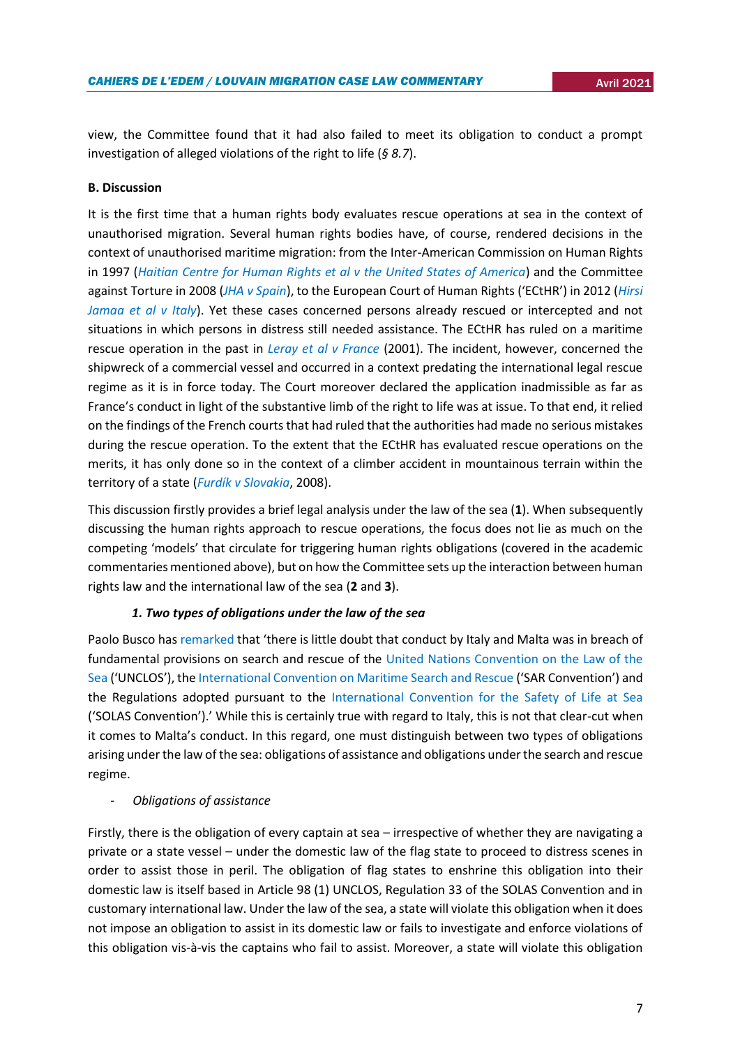view, the Committee found that it had also failed to meet its obligation to conduct a prompt investigation of alleged violations of the right to life (*§ 8.7*).

## **B. Discussion**

It is the first time that a human rights body evaluates rescue operations at sea in the context of unauthorised migration. Several human rights bodies have, of course, rendered decisions in the context of unauthorised maritime migration: from the Inter-American Commission on Human Rights in 1997 (*[Haitian Centre for Human Rights et al v the United States of America](http://www.cidh.org/annualrep/96eng/USA10675.htm)*) and the Committee against Torture in 2008 (*[JHA v Spain](https://juris.ohchr.org/Search/Details/76)*), to the European Court of Human Rights ('ECtHR') in 2012 (*[Hirsi](https://hudoc.echr.coe.int/spa#{"itemid":["001-109231"]})  [Jamaa et al v Italy](https://hudoc.echr.coe.int/spa#{"itemid":["001-109231"]})*). Yet these cases concerned persons already rescued or intercepted and not situations in which persons in distress still needed assistance. The ECtHR has ruled on a maritime rescue operation in the past in *[Leray et al v France](https://www.google.com/url?sa=t&rct=j&q=&esrc=s&source=web&cd=&ved=2ahUKEwih2caC26DwAhWDwAIHHVfKDz4QFjABegQIBhAD&url=http%3A%2F%2Fhudoc.echr.coe.int%2Fapp%2Fconversion%2Fdocx%2Fpdf%3Flibrary%3DECHR%26id%3D001-64553%26filename%3DCEDH.pdf&usg=AOvVaw3-VcTM6iKOYBtbrCScRGhD)* (2001). The incident, however, concerned the shipwreck of a commercial vessel and occurred in a context predating the international legal rescue regime as it is in force today. The Court moreover declared the application inadmissible as far as France's conduct in light of the substantive limb of the right to life was at issue. To that end, it relied on the findings of the French courts that had ruled that the authorities had made no serious mistakes during the rescue operation. To the extent that the ECtHR has evaluated rescue operations on the merits, it has only done so in the context of a climber accident in mountainous terrain within the territory of a state (*[Furdík v Slovakia](https://international.vlex.com/vid/furdik-v-slovakia-51463338)*, 2008).

This discussion firstly provides a brief legal analysis under the law of the sea (**1**). When subsequently discussing the human rights approach to rescue operations, the focus does not lie as much on the competing 'models' that circulate for triggering human rights obligations (covered in the academic commentaries mentioned above), but on how the Committee sets up the interaction between human rights law and the international law of the sea (**2** and **3**).

## *1. Two types of obligations under the law of the sea*

Paolo Busco has [remarked](https://opiniojuris.org/2021/03/02/not-all-that-glitters-is-gold-the-human-rights-committees-test-for-the-extraterritorial-application-of-the-iccpr-in-the-context-of-search-and-rescue-operations/) that 'there is little doubt that conduct by Italy and Malta was in breach of fundamental provisions on search and rescue of the [United Nations Convention on the Law of the](https://www.google.com/url?sa=t&rct=j&q=&esrc=s&source=web&cd=&cad=rja&uact=8&ved=2ahUKEwjBrcGW7aDwAhXGgf0HHSPVAXwQFjAAegQIAhAD&url=https%3A%2F%2Fwww.un.org%2Fdepts%2Flos%2Fconvention_agreements%2Ftexts%2Funclos%2Funclos_e.pdf&usg=AOvVaw3m2o47nYrcmHai_RFTRDVT)  [Sea](https://www.google.com/url?sa=t&rct=j&q=&esrc=s&source=web&cd=&cad=rja&uact=8&ved=2ahUKEwjBrcGW7aDwAhXGgf0HHSPVAXwQFjAAegQIAhAD&url=https%3A%2F%2Fwww.un.org%2Fdepts%2Flos%2Fconvention_agreements%2Ftexts%2Funclos%2Funclos_e.pdf&usg=AOvVaw3m2o47nYrcmHai_RFTRDVT) ('UNCLOS'), the [International Convention on Maritime Search and Rescue](https://www.imo.org/en/About/Conventions/Pages/International-Convention-on-Maritime-Search-and-Rescue-(SAR).aspx) ('SAR Convention') and the Regulations adopted pursuant to the [International Convention for the Safety of Life at Sea](https://www.imo.org/en/About/Conventions/Pages/International-Convention-for-the-Safety-of-Life-at-Sea-(SOLAS),-1974.aspx) ('SOLAS Convention').' While this is certainly true with regard to Italy, this is not that clear-cut when it comes to Malta's conduct. In this regard, one must distinguish between two types of obligations arising under the law of the sea: obligations of assistance and obligations under the search and rescue regime.

## - *Obligations of assistance*

Firstly, there is the obligation of every captain at sea – irrespective of whether they are navigating a private or a state vessel – under the domestic law of the flag state to proceed to distress scenes in order to assist those in peril. The obligation of flag states to enshrine this obligation into their domestic law is itself based in Article 98 (1) UNCLOS, Regulation 33 of the SOLAS Convention and in customary international law. Under the law of the sea, a state will violate this obligation when it does not impose an obligation to assist in its domestic law or fails to investigate and enforce violations of this obligation vis-à-vis the captains who fail to assist. Moreover, a state will violate this obligation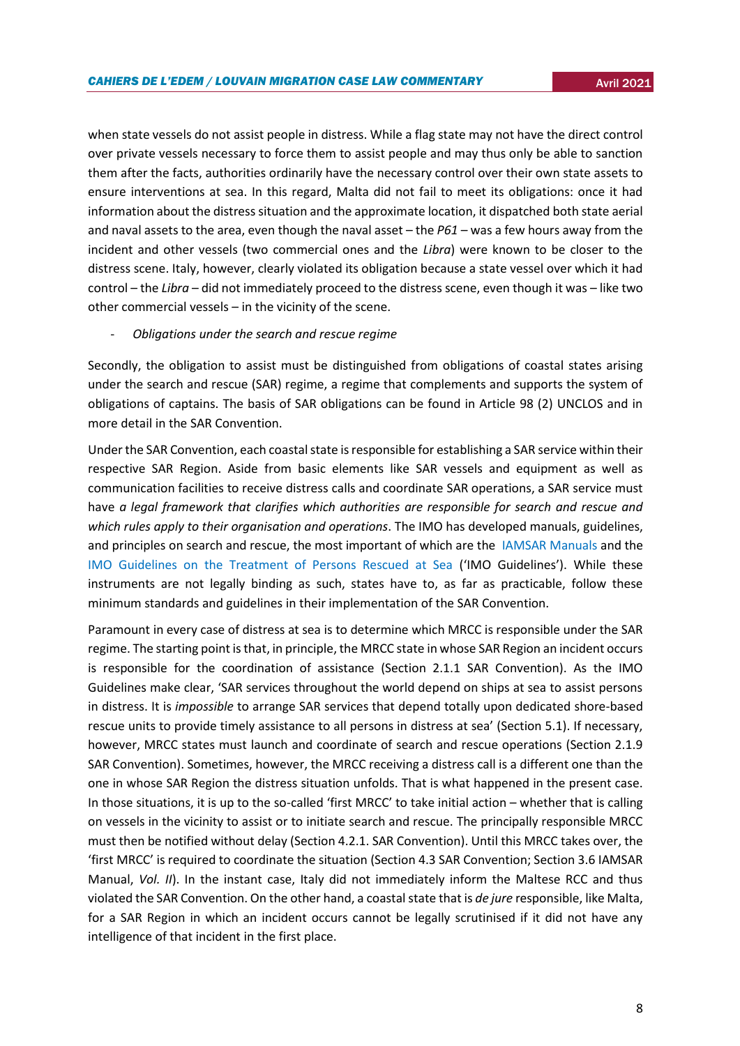when state vessels do not assist people in distress. While a flag state may not have the direct control over private vessels necessary to force them to assist people and may thus only be able to sanction them after the facts, authorities ordinarily have the necessary control over their own state assets to ensure interventions at sea. In this regard, Malta did not fail to meet its obligations: once it had information about the distress situation and the approximate location, it dispatched both state aerial and naval assets to the area, even though the naval asset – the *P61* – was a few hours away from the incident and other vessels (two commercial ones and the *Libra*) were known to be closer to the distress scene. Italy, however, clearly violated its obligation because a state vessel over which it had control – the *Libra* – did not immediately proceed to the distress scene, even though it was – like two other commercial vessels – in the vicinity of the scene.

## - *Obligations under the search and rescue regime*

Secondly, the obligation to assist must be distinguished from obligations of coastal states arising under the search and rescue (SAR) regime, a regime that complements and supports the system of obligations of captains. The basis of SAR obligations can be found in Article 98 (2) UNCLOS and in more detail in the SAR Convention.

Under the SAR Convention, each coastal state is responsible for establishing a SAR service within their respective SAR Region. Aside from basic elements like SAR vessels and equipment as well as communication facilities to receive distress calls and coordinate SAR operations, a SAR service must have *a legal framework that clarifies which authorities are responsible for search and rescue and which rules apply to their organisation and operations*. The IMO has developed manuals, guidelines, and principles on search and rescue, the most important of which are the [IAMSAR Manuals](https://www.imo.org/en/OurWork/Safety/Pages/IAMSARManual.aspx) and the [IMO Guidelines on the Treatment of Persons Rescued at Sea](https://wwwcdn.imo.org/localresources/en/OurWork/Facilitation/Documents/MSC.167%20(78).pdf) ('IMO Guidelines'). While these instruments are not legally binding as such, states have to, as far as practicable, follow these minimum standards and guidelines in their implementation of the SAR Convention.

Paramount in every case of distress at sea is to determine which MRCC is responsible under the SAR regime. The starting point is that, in principle, the MRCC state in whose SAR Region an incident occurs is responsible for the coordination of assistance (Section 2.1.1 SAR Convention). As the IMO Guidelines make clear, 'SAR services throughout the world depend on ships at sea to assist persons in distress. It is *impossible* to arrange SAR services that depend totally upon dedicated shore-based rescue units to provide timely assistance to all persons in distress at sea' (Section 5.1). If necessary, however, MRCC states must launch and coordinate of search and rescue operations (Section 2.1.9 SAR Convention). Sometimes, however, the MRCC receiving a distress call is a different one than the one in whose SAR Region the distress situation unfolds. That is what happened in the present case. In those situations, it is up to the so-called 'first MRCC' to take initial action – whether that is calling on vessels in the vicinity to assist or to initiate search and rescue. The principally responsible MRCC must then be notified without delay (Section 4.2.1. SAR Convention). Until this MRCC takes over, the 'first MRCC' is required to coordinate the situation (Section 4.3 SAR Convention; Section 3.6 IAMSAR Manual, *Vol. II*). In the instant case, Italy did not immediately inform the Maltese RCC and thus violated the SAR Convention. On the other hand, a coastal state that is *de jure* responsible, like Malta, for a SAR Region in which an incident occurs cannot be legally scrutinised if it did not have any intelligence of that incident in the first place.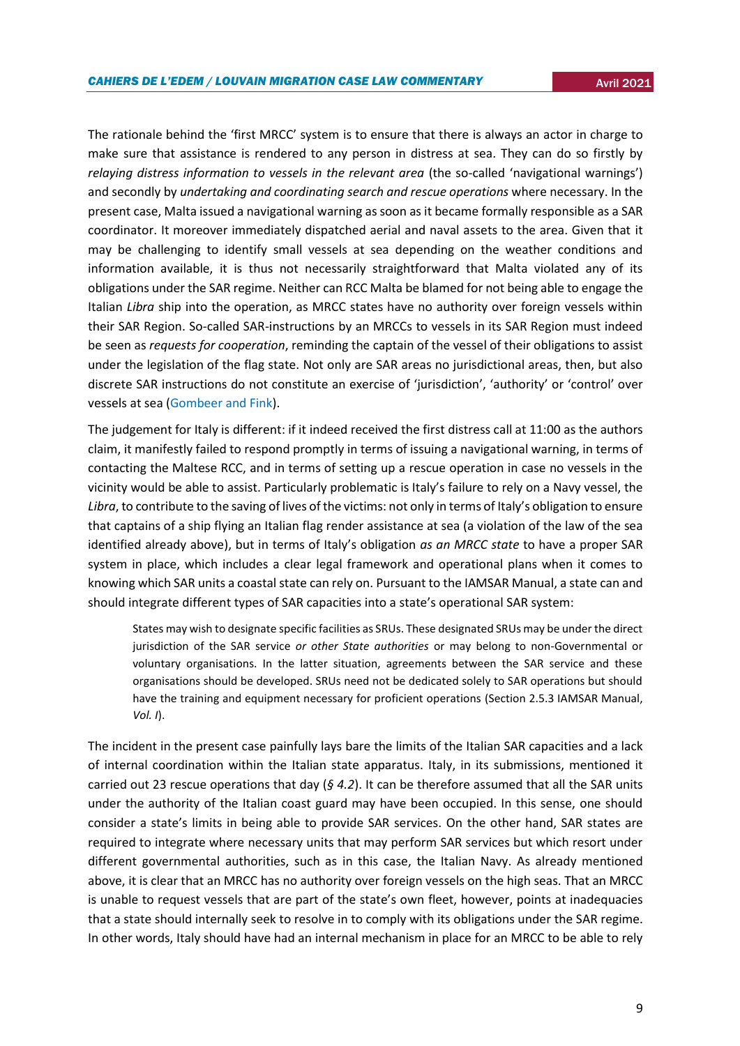The rationale behind the 'first MRCC' system is to ensure that there is always an actor in charge to make sure that assistance is rendered to any person in distress at sea. They can do so firstly by *relaying distress information to vessels in the relevant area (the so-called 'navigational warnings')* and secondly by *undertaking and coordinating search and rescue operations* where necessary. In the present case, Malta issued a navigational warning as soon as it became formally responsible as a SAR coordinator. It moreover immediately dispatched aerial and naval assets to the area. Given that it may be challenging to identify small vessels at sea depending on the weather conditions and information available, it is thus not necessarily straightforward that Malta violated any of its obligations under the SAR regime. Neither can RCC Malta be blamed for not being able to engage the Italian *Libra* ship into the operation, as MRCC states have no authority over foreign vessels within their SAR Region. So-called SAR-instructions by an MRCCs to vessels in its SAR Region must indeed be seen as *requests for cooperation*, reminding the captain of the vessel of their obligations to assist under the legislation of the flag state. Not only are SAR areas no jurisdictional areas, then, but also discrete SAR instructions do not constitute an exercise of 'jurisdiction', 'authority' or 'control' over vessels at sea [\(Gombeer and Fink\)](http://www.marsafelawjournal.org/wp-content/uploads/2018/06/MarSafeLaw-Journal_Issue-4_Gombeer-and-Fink.pdf).

The judgement for Italy is different: if it indeed received the first distress call at 11:00 as the authors claim, it manifestly failed to respond promptly in terms of issuing a navigational warning, in terms of contacting the Maltese RCC, and in terms of setting up a rescue operation in case no vessels in the vicinity would be able to assist. Particularly problematic is Italy's failure to rely on a Navy vessel, the *Libra*, to contribute to the saving of lives of the victims: not only in terms of Italy's obligation to ensure that captains of a ship flying an Italian flag render assistance at sea (a violation of the law of the sea identified already above), but in terms of Italy's obligation *as an MRCC state* to have a proper SAR system in place, which includes a clear legal framework and operational plans when it comes to knowing which SAR units a coastal state can rely on. Pursuant to the IAMSAR Manual, a state can and should integrate different types of SAR capacities into a state's operational SAR system:

States may wish to designate specific facilities as SRUs. These designated SRUs may be under the direct jurisdiction of the SAR service *or other State authorities* or may belong to non-Governmental or voluntary organisations. In the latter situation, agreements between the SAR service and these organisations should be developed. SRUs need not be dedicated solely to SAR operations but should have the training and equipment necessary for proficient operations (Section 2.5.3 IAMSAR Manual, *Vol. I*).

The incident in the present case painfully lays bare the limits of the Italian SAR capacities and a lack of internal coordination within the Italian state apparatus. Italy, in its submissions, mentioned it carried out 23 rescue operations that day (*§ 4.2*). It can be therefore assumed that all the SAR units under the authority of the Italian coast guard may have been occupied. In this sense, one should consider a state's limits in being able to provide SAR services. On the other hand, SAR states are required to integrate where necessary units that may perform SAR services but which resort under different governmental authorities, such as in this case, the Italian Navy. As already mentioned above, it is clear that an MRCC has no authority over foreign vessels on the high seas. That an MRCC is unable to request vessels that are part of the state's own fleet, however, points at inadequacies that a state should internally seek to resolve in to comply with its obligations under the SAR regime. In other words, Italy should have had an internal mechanism in place for an MRCC to be able to rely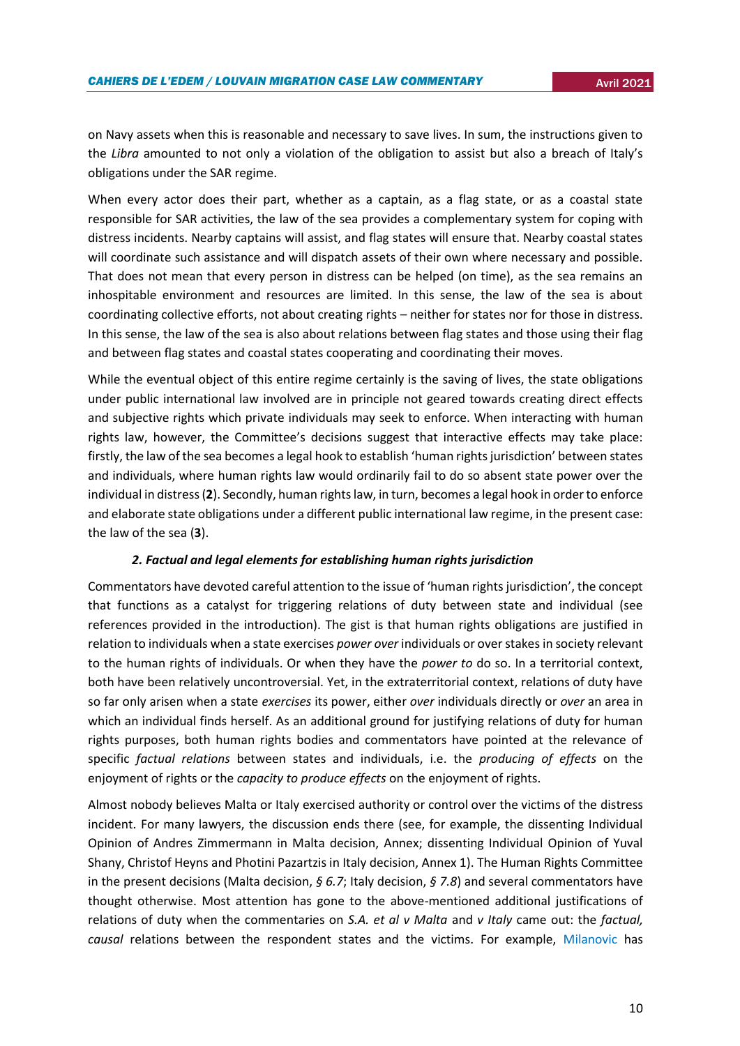on Navy assets when this is reasonable and necessary to save lives. In sum, the instructions given to the *Libra* amounted to not only a violation of the obligation to assist but also a breach of Italy's obligations under the SAR regime.

When every actor does their part, whether as a captain, as a flag state, or as a coastal state responsible for SAR activities, the law of the sea provides a complementary system for coping with distress incidents. Nearby captains will assist, and flag states will ensure that. Nearby coastal states will coordinate such assistance and will dispatch assets of their own where necessary and possible. That does not mean that every person in distress can be helped (on time), as the sea remains an inhospitable environment and resources are limited. In this sense, the law of the sea is about coordinating collective efforts, not about creating rights – neither for states nor for those in distress. In this sense, the law of the sea is also about relations between flag states and those using their flag and between flag states and coastal states cooperating and coordinating their moves.

While the eventual object of this entire regime certainly is the saving of lives, the state obligations under public international law involved are in principle not geared towards creating direct effects and subjective rights which private individuals may seek to enforce. When interacting with human rights law, however, the Committee's decisions suggest that interactive effects may take place: firstly, the law of the sea becomes a legal hook to establish 'human rights jurisdiction' between states and individuals, where human rights law would ordinarily fail to do so absent state power over the individual in distress (**2**). Secondly, human rights law, in turn, becomes a legal hook in order to enforce and elaborate state obligations under a different public international law regime, in the present case: the law of the sea (**3**).

## *2. Factual and legal elements for establishing human rights jurisdiction*

Commentators have devoted careful attention to the issue of 'human rights jurisdiction', the concept that functions as a catalyst for triggering relations of duty between state and individual (see references provided in the introduction). The gist is that human rights obligations are justified in relation to individuals when a state exercises *power over* individuals or over stakes in society relevant to the human rights of individuals. Or when they have the *power to* do so. In a territorial context, both have been relatively uncontroversial. Yet, in the extraterritorial context, relations of duty have so far only arisen when a state *exercises* its power, either *over* individuals directly or *over* an area in which an individual finds herself. As an additional ground for justifying relations of duty for human rights purposes, both human rights bodies and commentators have pointed at the relevance of specific *factual relations* between states and individuals, i.e. the *producing of effects* on the enjoyment of rights or the *capacity to produce effects* on the enjoyment of rights.

Almost nobody believes Malta or Italy exercised authority or control over the victims of the distress incident. For many lawyers, the discussion ends there (see, for example, the dissenting Individual Opinion of Andres Zimmermann in Malta decision, Annex; dissenting Individual Opinion of Yuval Shany, Christof Heyns and Photini Pazartzis in Italy decision, Annex 1). The Human Rights Committee in the present decisions (Malta decision, *§ 6.7*; Italy decision, *§ 7.8*) and several commentators have thought otherwise. Most attention has gone to the above-mentioned additional justifications of relations of duty when the commentaries on *S.A. et al v Malta* and *v Italy* came out: the *factual, causal* relations between the respondent states and the victims. For example, [Milanovic](https://www.ejiltalk.org/drowning-migrants-the-human-rights-committee-and-extraterritorial-human-rights-obligations/) has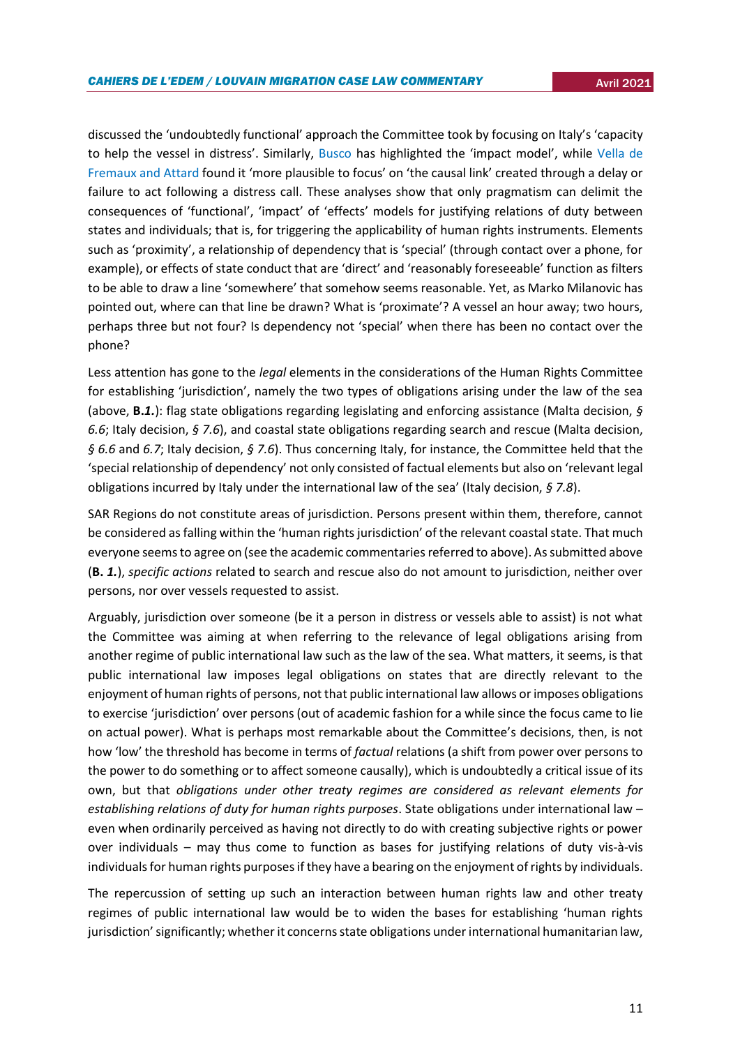discussed the 'undoubtedly functional' approach the Committee took by focusing on Italy's 'capacity to help the vessel in distress'. Similarly, [Busco](https://opiniojuris.org/2021/03/02/not-all-that-glitters-is-gold-the-human-rights-committees-test-for-the-extraterritorial-application-of-the-iccpr-in-the-context-of-search-and-rescue-operations/) has highlighted the 'impact model', while Vella de [Fremaux and Attard](http://opiniojuris.org/2021/03/03/rescue-at-sea-and-the-establishment-of-jurisdiction-new-direction-from-the-human-rights-part-ii-committee/) found it 'more plausible to focus' on 'the causal link' created through a delay or failure to act following a distress call. These analyses show that only pragmatism can delimit the consequences of 'functional', 'impact' of 'effects' models for justifying relations of duty between states and individuals; that is, for triggering the applicability of human rights instruments. Elements such as 'proximity', a relationship of dependency that is 'special' (through contact over a phone, for example), or effects of state conduct that are 'direct' and 'reasonably foreseeable' function as filters to be able to draw a line 'somewhere' that somehow seems reasonable. Yet, as Marko Milanovic has pointed out, where can that line be drawn? What is 'proximate'? A vessel an hour away; two hours, perhaps three but not four? Is dependency not 'special' when there has been no contact over the phone?

Less attention has gone to the *legal* elements in the considerations of the Human Rights Committee for establishing 'jurisdiction', namely the two types of obligations arising under the law of the sea (above, **B.***1.*): flag state obligations regarding legislating and enforcing assistance (Malta decision, *§ 6.6*; Italy decision, *§ 7.6*), and coastal state obligations regarding search and rescue (Malta decision, *§ 6.6* and *6.7*; Italy decision, *§ 7.6*). Thus concerning Italy, for instance, the Committee held that the 'special relationship of dependency' not only consisted of factual elements but also on 'relevant legal obligations incurred by Italy under the international law of the sea' (Italy decision, *§ 7.8*).

SAR Regions do not constitute areas of jurisdiction. Persons present within them, therefore, cannot be considered as falling within the 'human rights jurisdiction' of the relevant coastal state. That much everyone seems to agree on (see the academic commentaries referred to above). As submitted above (**B.** *1.*), *specific actions* related to search and rescue also do not amount to jurisdiction, neither over persons, nor over vessels requested to assist.

Arguably, jurisdiction over someone (be it a person in distress or vessels able to assist) is not what the Committee was aiming at when referring to the relevance of legal obligations arising from another regime of public international law such as the law of the sea. What matters, it seems, is that public international law imposes legal obligations on states that are directly relevant to the enjoyment of human rights of persons, not that public international law allows or imposes obligations to exercise 'jurisdiction' over persons (out of academic fashion for a while since the focus came to lie on actual power). What is perhaps most remarkable about the Committee's decisions, then, is not how 'low' the threshold has become in terms of *factual* relations (a shift from power over persons to the power to do something or to affect someone causally), which is undoubtedly a critical issue of its own, but that *obligations under other treaty regimes are considered as relevant elements for establishing relations of duty for human rights purposes*. State obligations under international law – even when ordinarily perceived as having not directly to do with creating subjective rights or power over individuals – may thus come to function as bases for justifying relations of duty vis-à-vis individuals for human rights purposes if they have a bearing on the enjoyment of rights by individuals.

The repercussion of setting up such an interaction between human rights law and other treaty regimes of public international law would be to widen the bases for establishing 'human rights jurisdiction' significantly; whether it concerns state obligations under international humanitarian law,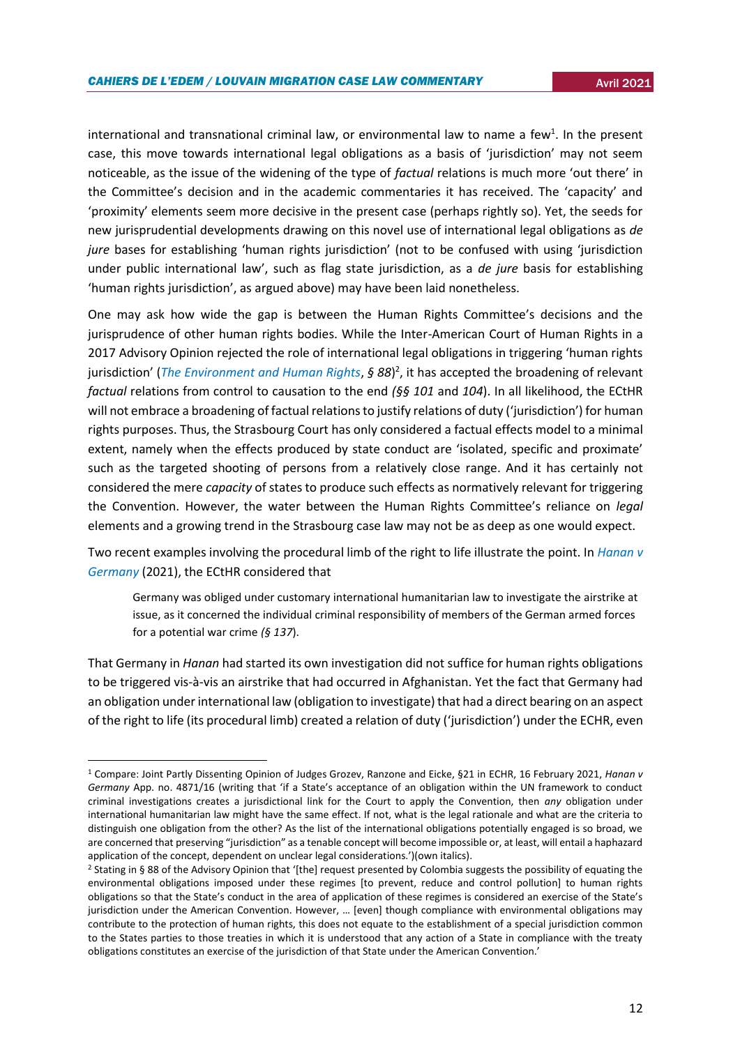international and transnational criminal law, or environmental law to name a few<sup>1</sup>. In the present case, this move towards international legal obligations as a basis of 'jurisdiction' may not seem noticeable, as the issue of the widening of the type of *factual* relations is much more 'out there' in the Committee's decision and in the academic commentaries it has received. The 'capacity' and 'proximity' elements seem more decisive in the present case (perhaps rightly so). Yet, the seeds for new jurisprudential developments drawing on this novel use of international legal obligations as *de jure* bases for establishing 'human rights jurisdiction' (not to be confused with using 'jurisdiction under public international law', such as flag state jurisdiction, as a *de jure* basis for establishing 'human rights jurisdiction', as argued above) may have been laid nonetheless.

One may ask how wide the gap is between the Human Rights Committee's decisions and the jurisprudence of other human rights bodies. While the Inter-American Court of Human Rights in a 2017 Advisory Opinion rejected the role of international legal obligations in triggering 'human rights jurisdiction' (*[The Environment and Human Rights](https://www.corteidh.or.cr/docs/opiniones/seriea_23_ing.pdf)*, *§ 88*) 2 , it has accepted the broadening of relevant *factual* relations from control to causation to the end *(§§ 101* and *104*). In all likelihood, the ECtHR will not embrace a broadening of factual relations to justify relations of duty ('jurisdiction') for human rights purposes. Thus, the Strasbourg Court has only considered a factual effects model to a minimal extent, namely when the effects produced by state conduct are 'isolated, specific and proximate' such as the targeted shooting of persons from a relatively close range. And it has certainly not considered the mere *capacity* of states to produce such effects as normatively relevant for triggering the Convention. However, the water between the Human Rights Committee's reliance on *legal*  elements and a growing trend in the Strasbourg case law may not be as deep as one would expect.

Two recent examples involving the procedural limb of the right to life illustrate the point. In *[Hanan v](https://hudoc.echr.coe.int/fre#%7B%22itemid%22:[%22001-208279%22]%7D)  [Germany](https://hudoc.echr.coe.int/fre#%7B%22itemid%22:[%22001-208279%22]%7D)* (2021), the ECtHR considered that

Germany was obliged under customary international humanitarian law to investigate the airstrike at issue, as it concerned the individual criminal responsibility of members of the German armed forces for a potential war crime *(§ 137*).

That Germany in *Hanan* had started its own investigation did not suffice for human rights obligations to be triggered vis-à-vis an airstrike that had occurred in Afghanistan. Yet the fact that Germany had an obligation under international law (obligation to investigate) that had a direct bearing on an aspect of the right to life (its procedural limb) created a relation of duty ('jurisdiction') under the ECHR, even

 $\overline{a}$ 

<sup>1</sup> Compare: Joint Partly Dissenting Opinion of Judges Grozev, Ranzone and Eicke, §21 in ECHR, 16 February 2021, *Hanan v Germany* App. no. 4871/16 (writing that 'if a State's acceptance of an obligation within the UN framework to conduct criminal investigations creates a jurisdictional link for the Court to apply the Convention, then *any* obligation under international humanitarian law might have the same effect. If not, what is the legal rationale and what are the criteria to distinguish one obligation from the other? As the list of the international obligations potentially engaged is so broad, we are concerned that preserving "jurisdiction" as a tenable concept will become impossible or, at least, will entail a haphazard application of the concept, dependent on unclear legal considerations.')(own italics).

<sup>2</sup> Stating in § 88 of the Advisory Opinion that '[the] request presented by Colombia suggests the possibility of equating the environmental obligations imposed under these regimes [to prevent, reduce and control pollution] to human rights obligations so that the State's conduct in the area of application of these regimes is considered an exercise of the State's jurisdiction under the American Convention. However, … [even] though compliance with environmental obligations may contribute to the protection of human rights, this does not equate to the establishment of a special jurisdiction common to the States parties to those treaties in which it is understood that any action of a State in compliance with the treaty obligations constitutes an exercise of the jurisdiction of that State under the American Convention.'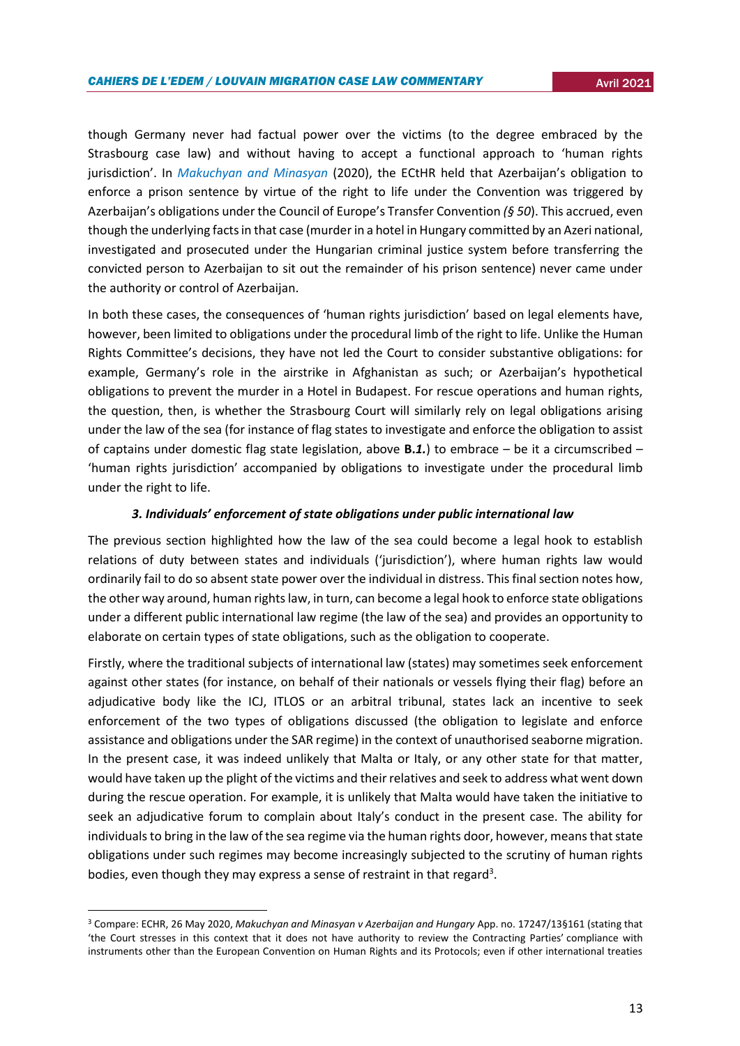though Germany never had factual power over the victims (to the degree embraced by the Strasbourg case law) and without having to accept a functional approach to 'human rights jurisdiction'. In *[Makuchyan and Minasyan](https://hudoc.echr.coe.int/eng#{"itemid":["001-202524"]})* (2020), the ECtHR held that Azerbaijan's obligation to enforce a prison sentence by virtue of the right to life under the Convention was triggered by Azerbaijan's obligations under the Council of Europe's Transfer Convention *(§ 50*). This accrued, even though the underlying facts in that case (murder in a hotel in Hungary committed by an Azeri national, investigated and prosecuted under the Hungarian criminal justice system before transferring the convicted person to Azerbaijan to sit out the remainder of his prison sentence) never came under the authority or control of Azerbaijan.

In both these cases, the consequences of 'human rights jurisdiction' based on legal elements have, however, been limited to obligations under the procedural limb of the right to life. Unlike the Human Rights Committee's decisions, they have not led the Court to consider substantive obligations: for example, Germany's role in the airstrike in Afghanistan as such; or Azerbaijan's hypothetical obligations to prevent the murder in a Hotel in Budapest. For rescue operations and human rights, the question, then, is whether the Strasbourg Court will similarly rely on legal obligations arising under the law of the sea (for instance of flag states to investigate and enforce the obligation to assist of captains under domestic flag state legislation, above **B.***1.*) to embrace – be it a circumscribed – 'human rights jurisdiction' accompanied by obligations to investigate under the procedural limb under the right to life.

## *3. Individuals' enforcement of state obligations under public international law*

The previous section highlighted how the law of the sea could become a legal hook to establish relations of duty between states and individuals ('jurisdiction'), where human rights law would ordinarily fail to do so absent state power over the individual in distress. This final section notes how, the other way around, human rights law, in turn, can become a legal hook to enforce state obligations under a different public international law regime (the law of the sea) and provides an opportunity to elaborate on certain types of state obligations, such as the obligation to cooperate.

Firstly, where the traditional subjects of international law (states) may sometimes seek enforcement against other states (for instance, on behalf of their nationals or vessels flying their flag) before an adjudicative body like the ICJ, ITLOS or an arbitral tribunal, states lack an incentive to seek enforcement of the two types of obligations discussed (the obligation to legislate and enforce assistance and obligations under the SAR regime) in the context of unauthorised seaborne migration. In the present case, it was indeed unlikely that Malta or Italy, or any other state for that matter, would have taken up the plight of the victims and their relatives and seek to address what went down during the rescue operation. For example, it is unlikely that Malta would have taken the initiative to seek an adjudicative forum to complain about Italy's conduct in the present case. The ability for individuals to bring in the law of the sea regime via the human rights door, however, means that state obligations under such regimes may become increasingly subjected to the scrutiny of human rights bodies, even though they may express a sense of restraint in that regard<sup>3</sup>.

**.** 

<sup>3</sup> Compare: ECHR, 26 May 2020, *Makuchyan and Minasyan v Azerbaijan and Hungary* App. no. 17247/13§161 (stating that 'the Court stresses in this context that it does not have authority to review the Contracting Parties' compliance with instruments other than the European Convention on Human Rights and its Protocols; even if other international treaties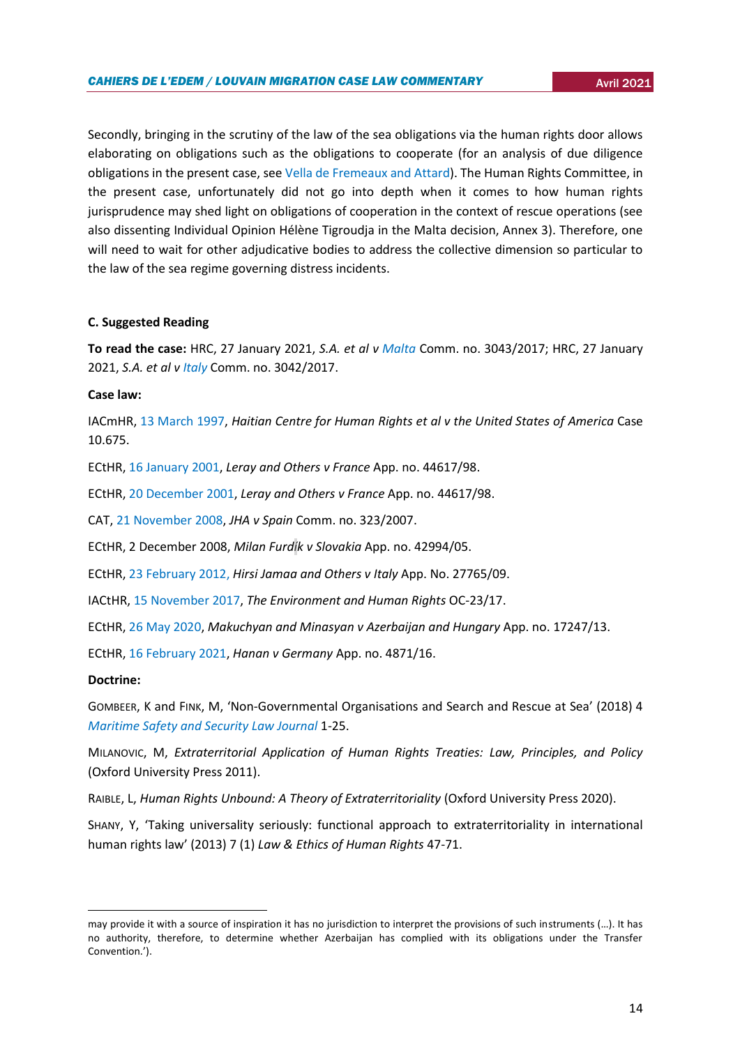Secondly, bringing in the scrutiny of the law of the sea obligations via the human rights door allows elaborating on obligations such as the obligations to cooperate (for an analysis of due diligence obligations in the present case, se[e Vella de Fremeaux and Attard\)](http://opiniojuris.org/2021/03/03/rescue-at-sea-and-the-establishment-of-jurisdiction-new-direction-from-the-human-rights-part-ii-committee/). The Human Rights Committee, in the present case, unfortunately did not go into depth when it comes to how human rights jurisprudence may shed light on obligations of cooperation in the context of rescue operations (see also dissenting Individual Opinion Hélène Tigroudja in the Malta decision, Annex 3). Therefore, one will need to wait for other adjudicative bodies to address the collective dimension so particular to the law of the sea regime governing distress incidents.

## **C. Suggested Reading**

**To read the case:** HRC, 27 January 2021, *S.A. et al v [Malta](https://tbinternet.ohchr.org/_layouts/15/treatybodyexternal/Download.aspx?symbolno=CCPR/C/128/D/3043/2017&Lang=en)* Comm. no. 3043/2017; HRC, 27 January 2021, *S.A. et al v [Italy](https://www.google.com/url?sa=t&rct=j&q=&esrc=s&source=web&cd=&ved=2ahUKEwjS8pDguY3wAhWK3KQKHUaIALsQFjAAegQICBAD&url=https%3A%2F%2Ftbinternet.ohchr.org%2FTreaties%2FCCPR%2FShared%2520Documents%2FITA%2FCCPR_C_130_DR_3042_2017_32338_E.docx&usg=AOvVaw3iA5Z1L9gw-vc3731GIzbQ)* Comm. no. 3042/2017.

## **Case law:**

IACmHR, [13 March 1997,](http://www.cidh.org/annualrep/96eng/USA10675.htm) *Haitian Centre for Human Rights et al v the United States of America* Case 10.675.

ECtHR, [16 January 2001,](https://www.google.com/url?sa=t&rct=j&q=&esrc=s&source=web&cd=&ved=2ahUKEwiC3J-slaHwAhWajaQKHdfHBFkQFjABegQIBhAD&url=http%3A%2F%2Fhudoc.echr.coe.int%2Fapp%2Fconversion%2Fdocx%2Fpdf%3Flibrary%3DECHR%26id%3D001-43930%26filename%3DCEDH.pdf&usg=AOvVaw02PVlcn6_Yfo5zQ-JLvKJR) *Leray and Others v France* App. no. 44617/98.

ECtHR, [20 December 2001,](https://www.google.com/url?sa=t&rct=j&q=&esrc=s&source=web&cd=&ved=2ahUKEwiC3J-slaHwAhWajaQKHdfHBFkQFjAAegQICBAD&url=http%3A%2F%2Fhudoc.echr.coe.int%2Fapp%2Fconversion%2Fdocx%2Fpdf%3Flibrary%3DECHR%26id%3D001-64553%26filename%3DCEDH.pdf&usg=AOvVaw3-VcTM6iKOYBtbrCScRGhD) *Leray and Others v France* App. no. 44617/98.

CAT[, 21 November 2008,](https://juris.ohchr.org/Search/Details/76) *JHA v Spain* Comm. no. 323/2007.

ECtHR, 2 December 2008, *Milan Furdík v Slovakia* App. no. 42994/05.

ECtHR, [23 February 2012,](https://hudoc.echr.coe.int/spa#%7B%22itemid%22:%5B%22001-109231%22%5D%7D) *Hirsi Jamaa and Others v Italy* App. No. 27765/09.

IACtHR[, 15 November 2017,](https://hudoc.echr.coe.int/fre#%7B%22itemid%22:[%22001-208279%22]%7D) *The Environment and Human Rights* OC-23/17.

ECtHR, [26 May 2020,](https://hudoc.echr.coe.int/eng#{"itemid":["001-202524"]}) *Makuchyan and Minasyan v Azerbaijan and Hungary* App. no. 17247/13.

ECtHR, [16 February 2021,](https://hudoc.echr.coe.int/fre#%7B%22itemid%22:[%22001-208279%22]%7D) *Hanan v Germany* App. no. 4871/16.

## **Doctrine:**

**.** 

GOMBEER, K and FINK, M, 'Non-Governmental Organisations and Search and Rescue at Sea' (2018) 4 *[Maritime Safety and Security Law Journal](http://www.marsafelawjournal.org/wp-content/uploads/2018/06/MarSafeLaw-Journal_Issue-4_Gombeer-and-Fink.pdf)* 1-25.

MILANOVIC, M, *Extraterritorial Application of Human Rights Treaties: Law, Principles, and Policy* (Oxford University Press 2011).

RAIBLE, L, *Human Rights Unbound: A Theory of Extraterritoriality* (Oxford University Press 2020).

SHANY, Y, 'Taking universality seriously: functional approach to extraterritoriality in international human rights law' (2013) 7 (1) *Law & Ethics of Human Rights* 47-71.

may provide it with a source of inspiration it has no jurisdiction to interpret the provisions of such instruments (…). It has no authority, therefore, to determine whether Azerbaijan has complied with its obligations under the Transfer Convention.').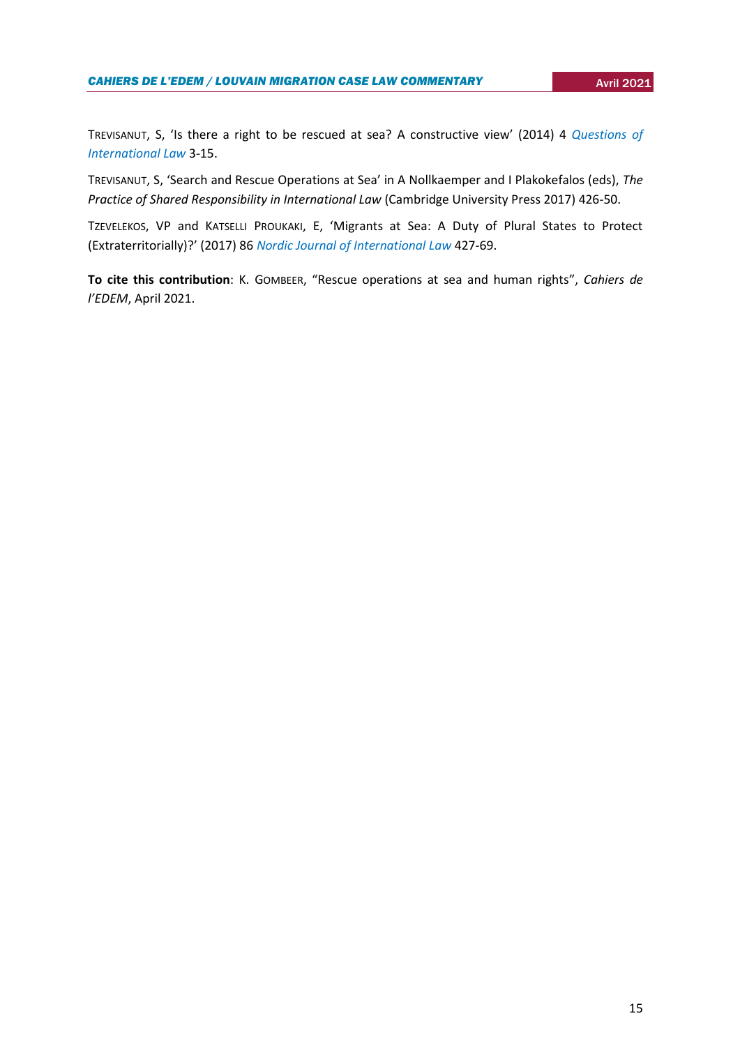TREVISANUT, S, 'Is there a right to be rescued at sea? A constructive view' (2014) 4 *[Questions of](file:///C:/Users/chflamand/AppData/Local/Microsoft/Windows/INetCache/Content.Outlook/MD3GMIO0/Trevisanut,%20S,%20‘Is%20there%20a%20right%20to%20be%20rescued%20at%20sea%3f%20A%20constructive%20view’%20(2014)%204%20Questions%20of%20International%20Law)  [International Law](file:///C:/Users/chflamand/AppData/Local/Microsoft/Windows/INetCache/Content.Outlook/MD3GMIO0/Trevisanut,%20S,%20‘Is%20there%20a%20right%20to%20be%20rescued%20at%20sea%3f%20A%20constructive%20view’%20(2014)%204%20Questions%20of%20International%20Law)* 3-15.

TREVISANUT, S, 'Search and Rescue Operations at Sea' in A Nollkaemper and I Plakokefalos (eds), *The Practice of Shared Responsibility in International Law* (Cambridge University Press 2017) 426-50.

TZEVELEKOS, VP and KATSELLI PROUKAKI, E, 'Migrants at Sea: A Duty of Plural States to Protect (Extraterritorially)?' (2017) 86 *[Nordic Journal of International Law](https://brill.com/view/journals/nord/86/4/article-p427_427.xml?language=en)* 427-69.

**To cite this contribution**: K. GOMBEER, "Rescue operations at sea and human rights", *Cahiers de l'EDEM*, April 2021.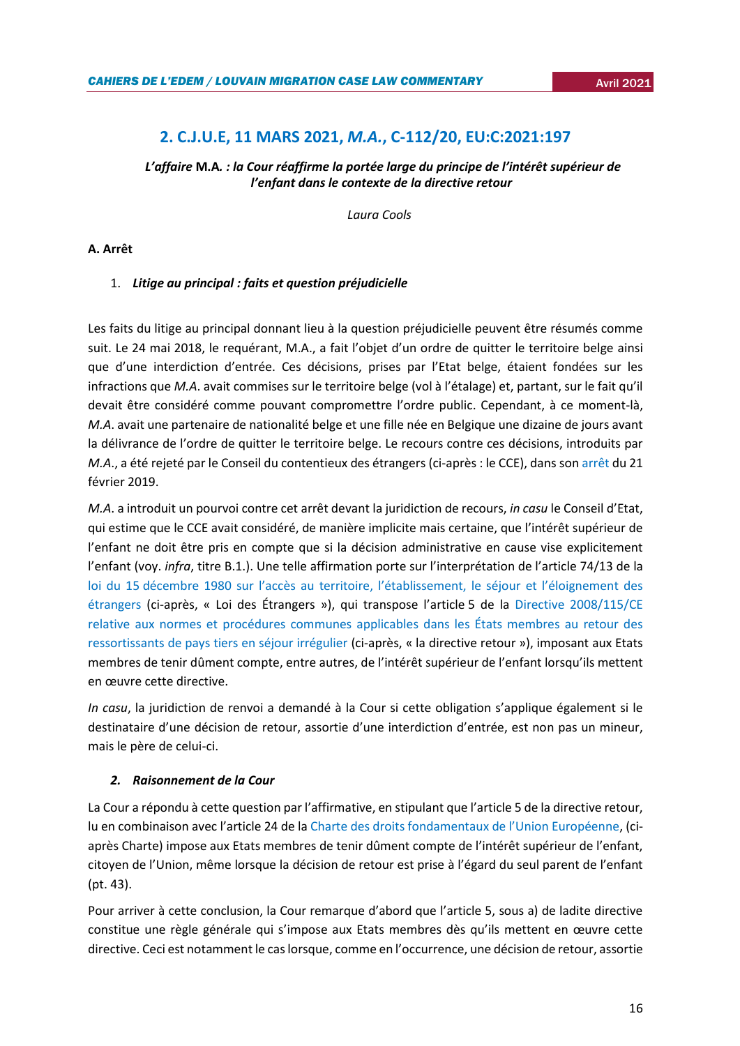# **2. C.J.U.E, 11 MARS 2021,** *M.A.***, C-112/20, EU:C:2021:197**

<span id="page-15-0"></span>*L'affaire* **M.A***. : la Cour réaffirme la portée large du principe de l'intérêt supérieur de l'enfant dans le contexte de la directive retour*

 *Laura Cools*

## **A. Arrêt**

## 1. *Litige au principal : faits et question préjudicielle*

Les faits du litige au principal donnant lieu à la question préjudicielle peuvent être résumés comme suit. Le 24 mai 2018, le requérant, M.A., a fait l'objet d'un ordre de quitter le territoire belge ainsi que d'une interdiction d'entrée. Ces décisions, prises par l'Etat belge, étaient fondées sur les infractions que *M.A*. avait commises sur le territoire belge (vol à l'étalage) et, partant, sur le fait qu'il devait être considéré comme pouvant compromettre l'ordre public. Cependant, à ce moment-là, *M.A*. avait une partenaire de nationalité belge et une fille née en Belgique une dizaine de jours avant la délivrance de l'ordre de quitter le territoire belge. Le recours contre ces décisions, introduits par *M.A*., a été rejeté par le Conseil du contentieux des étrangers (ci-après : le CCE), dans so[n arrêt](https://www.rvv-cce.be/sites/default/files/arr/a217230.an_.pdf) du 21 février 2019.

*M.A*. a introduit un pourvoi contre cet arrêt devant la juridiction de recours, *in casu* le Conseil d'Etat, qui estime que le CCE avait considéré, de manière implicite mais certaine, que l'intérêt supérieur de l'enfant ne doit être pris en compte que si la décision administrative en cause vise explicitement l'enfant (voy. *infra*, titre B.1.). Une telle affirmation porte sur l'interprétation de l'article 74/13 de la loi du 15 décembre 1980 sur [l'accès au territoire, l'établissement, le séjour et l'éloignement des](http://www.ejustice.just.fgov.be/cgi_loi/change_lg.pl?language=fr&la=F&cn=1980121530&table_name=loi)  [étrangers](http://www.ejustice.just.fgov.be/cgi_loi/change_lg.pl?language=fr&la=F&cn=1980121530&table_name=loi) (ci-après, « Loi des Étrangers »), qui transpose l'article 5 de la [Directive 2008/115/CE](https://eur-lex.europa.eu/legal-content/FR/TXT/?uri=celex%3A32008L0115)  [relative aux normes et procédures communes applicables dans les États membres au retour des](https://eur-lex.europa.eu/legal-content/FR/TXT/?uri=celex%3A32008L0115)  [ressortissants de pays tiers en séjour irrégulier](https://eur-lex.europa.eu/legal-content/FR/TXT/?uri=celex%3A32008L0115) (ci-après, « la directive retour »), imposant aux Etats membres de tenir dûment compte, entre autres, de l'intérêt supérieur de l'enfant lorsqu'ils mettent en œuvre cette directive.

*In casu*, la juridiction de renvoi a demandé à la Cour si cette obligation s'applique également si le destinataire d'une décision de retour, assortie d'une interdiction d'entrée, est non pas un mineur, mais le père de celui-ci.

## *2. Raisonnement de la Cour*

La Cour a répondu à cette question par l'affirmative, en stipulant que l'article 5 de la directive retour, lu en combinaison avec l'article 24 de la [Charte](https://www.europarl.europa.eu/charter/pdf/text_fr.pdf) des droits fondamentaux de l'Union Européenne, (ciaprès Charte) impose aux Etats membres de tenir dûment compte de l'intérêt supérieur de l'enfant, citoyen de l'Union, même lorsque la décision de retour est prise à l'égard du seul parent de l'enfant (pt. 43).

Pour arriver à cette conclusion, la Cour remarque d'abord que l'article 5, sous a) de ladite directive constitue une règle générale qui s'impose aux Etats membres dès qu'ils mettent en œuvre cette directive. Ceci est notamment le cas lorsque, comme en l'occurrence, une décision de retour, assortie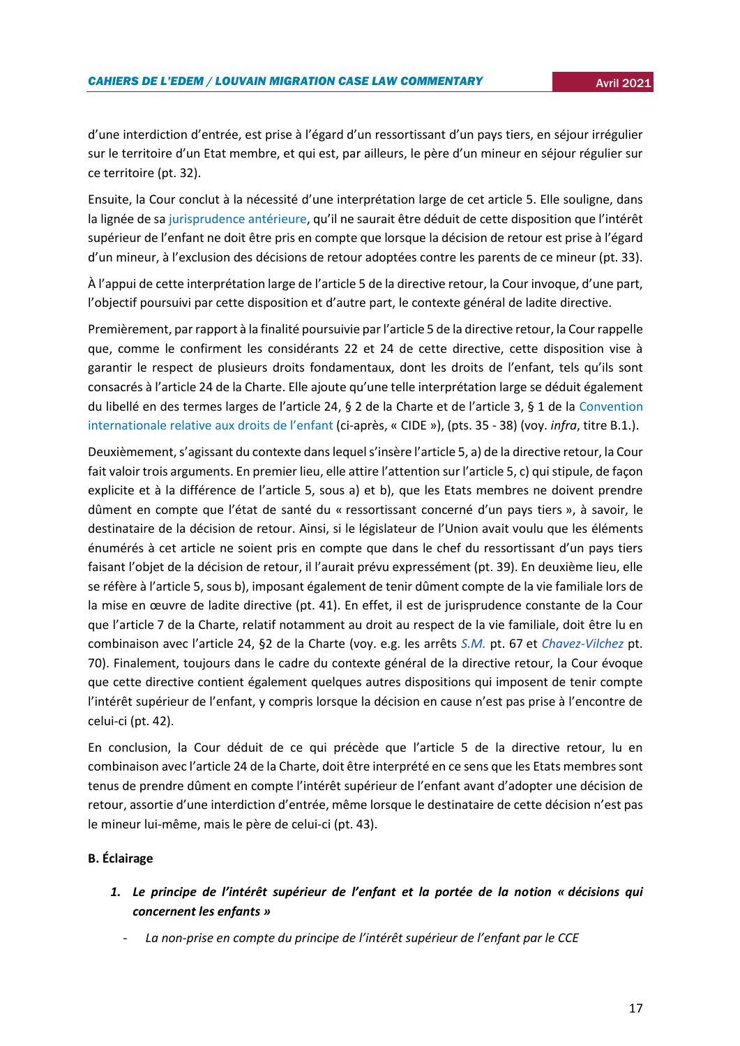d'une interdiction d'entrée, est prise à l'égard d'un ressortissant d'un pays tiers, en séjour irrégulier sur le territoire d'un Etat membre, et qui est, par ailleurs, le père d'un mineur en séjour régulier sur ce territoire (pt. 32).

Ensuite, la Cour conclut à la nécessité d'une interprétation large de cet article 5. Elle souligne, dans la lignée de s[a jurisprudence antérieure](https://curia.europa.eu/juris/document/document.jsf?text=&docid=201821&doclang=FR), qu'il ne saurait être déduit de cette disposition que l'intérêt supérieur de l'enfant ne doit être pris en compte que lorsque la décision de retour est prise à l'égard d'un mineur, à l'exclusion des décisions de retour adoptées contre les parents de ce mineur (pt. 33).

À l'appui de cette interprétation large de l'article 5 de la directive retour, la Cour invoque, d'une part, l'objectif poursuivi par cette disposition et d'autre part, le contexte général de ladite directive.

Premièrement, par rapport à la finalité poursuivie par l'article 5 de la directive retour, la Cour rappelle que, comme le confirment les considérants 22 et 24 de cette directive, cette disposition vise à garantir le respect de plusieurs droits fondamentaux, dont les droits de l'enfant, tels qu'ils sont consacrés à l'article 24 de la Charte. Elle ajoute qu'une telle interprétation large se déduit également du libellé en des termes larges de l'article 24, § 2 de la Charte et de l'article 3, § 1 de la [Convention](https://www.ohchr.org/FR/ProfessionalInterest/Pages/CRC.aspx)  [internationale relative aux droits de l'enfan](https://www.ohchr.org/FR/ProfessionalInterest/Pages/CRC.aspx)[t](https://www.ohchr.org/FR/ProfessionalInterest/Pages/CRC.aspx) (ci-après, « CIDE »), (pts. 35 - 38) (voy. *infra*, titre B.1.).

Deuxièmement, s'agissant du contexte dans lequel s'insère l'article 5, a) de la directive retour, la Cour fait valoir trois arguments. En premier lieu, elle attire l'attention sur l'article 5, c) qui stipule, de façon explicite et à la différence de l'article 5, sous a) et b), que les Etats membres ne doivent prendre dûment en compte que l'état de santé du « ressortissant concerné d'un pays tiers », à savoir, le destinataire de la décision de retour. Ainsi, si le législateur de l'Union avait voulu que les éléments énumérés à cet article ne soient pris en compte que dans le chef du ressortissant d'un pays tiers faisant l'objet de la décision de retour, il l'aurait prévu expressément (pt. 39). En deuxième lieu, elle se réfère à l'article 5, sous b), imposant également de tenir dûment compte de la vie familiale lors de la mise en œuvre de ladite directive (pt. 41). En effet, il est de jurisprudence constante de la Cour que l'article 7 de la Charte, relatif notamment au droit au respect de la vie familiale, doit être lu en combinaison avec l'article 24, §2 de la Charte (voy. e.g. les arrêts *[S.M.](https://curia.europa.eu/juris/document/document.jsf?text=&docid=212226&pageIndex=0&doclang=fr&mode=lst&dir=&occ=first&part=1&cid=2027680)* pt. 67 et *[Chavez-Vilchez](https://curia.europa.eu/juris/document/document.jsf?text=&docid=190502&pageIndex=0&doclang=fr&mode=lst&dir=&occ=first&part=1&cid=2027680)* pt. 70). Finalement, toujours dans le cadre du contexte général de la directive retour, la Cour évoque que cette directive contient également quelques autres dispositions qui imposent de tenir compte l'intérêt supérieur de l'enfant, y compris lorsque la décision en cause n'est pas prise à l'encontre de celui-ci (pt. 42).

En conclusion, la Cour déduit de ce qui précède que l'article 5 de la directive retour, lu en combinaison avec l'article 24 de la Charte, doit être interprété en ce sens que les Etats membres sont tenus de prendre dûment en compte l'intérêt supérieur de l'enfant avant d'adopter une décision de retour, assortie d'une interdiction d'entrée, même lorsque le destinataire de cette décision n'est pas le mineur lui-même, mais le père de celui-ci (pt. 43).

## **B. Éclairage**

- *1. Le principe de l'intérêt supérieur de l'enfant et la portée de la notion « décisions qui concernent les enfants »* 
	- La non-prise en compte du principe de l'intérêt supérieur de l'enfant par le CCE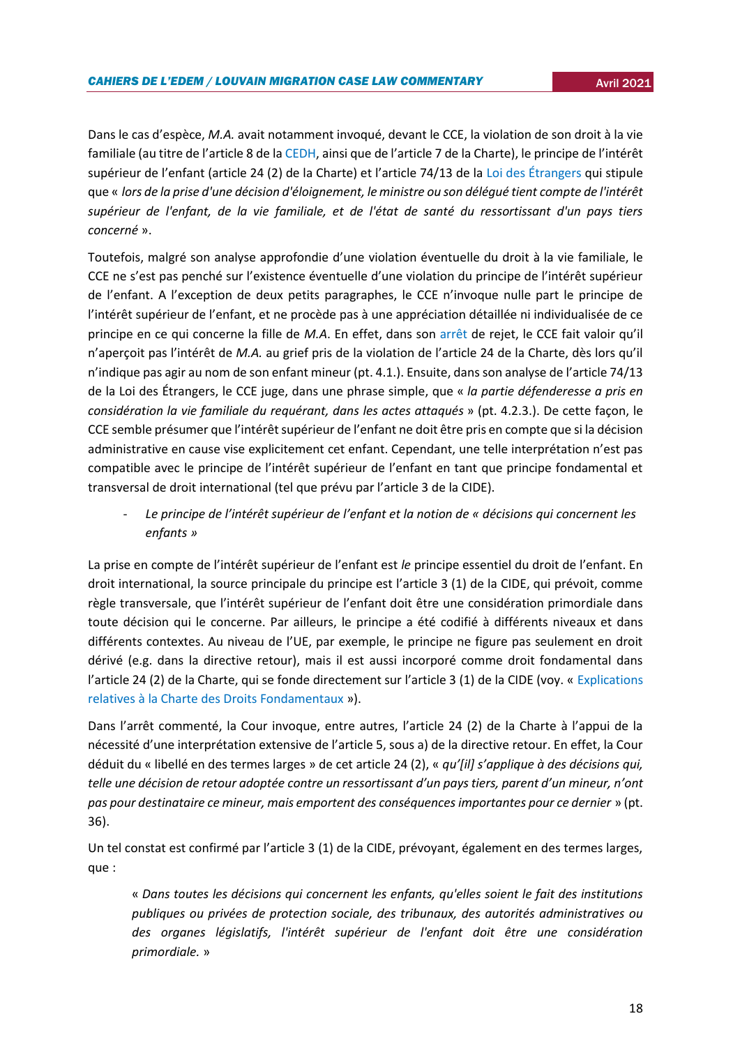Dans le cas d'espèce, *M.A.* avait notamment invoqué, devant le CCE, la violation de son droit à la vie familiale (au titre de l'article 8 de la [CEDH](https://www.echr.coe.int/documents/convention_fra.pdf), ainsi que de l'article 7 de la Charte), le principe de l'intérêt supérieur de l'enfant (article 24 (2) de la Charte) et l'article 74/13 de la [Loi des Étrangers](http://www.ejustice.just.fgov.be/cgi_loi/change_lg.pl?language=fr&la=F&cn=1980121530&table_name=loi) qui stipule que « *lors de la prise d'une décision d'éloignement, le ministre ou son délégué tient compte de l'intérêt supérieur de l'enfant, de la vie familiale, et de l'état de santé du ressortissant d'un pays tiers concerné* ».

Toutefois, malgré son analyse approfondie d'une violation éventuelle du droit à la vie familiale, le CCE ne s'est pas penché sur l'existence éventuelle d'une violation du principe de l'intérêt supérieur de l'enfant. A l'exception de deux petits paragraphes, le CCE n'invoque nulle part le principe de l'intérêt supérieur de l'enfant, et ne procède pas à une appréciation détaillée ni individualisée de ce principe en ce qui concerne la fille de *M.A*. En effet, dans son [arrêt](https://www.rvv-cce.be/sites/default/files/arr/a217230.an_.pdf) de rejet, le CCE fait valoir qu'il n'aperçoit pas l'intérêt de *M.A.* au grief pris de la violation de l'article 24 de la Charte, dès lors qu'il n'indique pas agir au nom de son enfant mineur (pt. 4.1.). Ensuite, dans son analyse de l'article 74/13 de la Loi des Étrangers, le CCE juge, dans une phrase simple, que « *la partie défenderesse a pris en considération la vie familiale du requérant, dans les actes attaqués* » (pt. 4.2.3.). De cette façon, le CCE semble présumer que l'intérêt supérieur de l'enfant ne doit être pris en compte que si la décision administrative en cause vise explicitement cet enfant. Cependant, une telle interprétation n'est pas compatible avec le principe de l'intérêt supérieur de l'enfant en tant que principe fondamental et transversal de droit international (tel que prévu par l'article 3 de la CIDE).

- *Le principe de l'intérêt supérieur de l'enfant et la notion de « décisions qui concernent les enfants »*

La prise en compte de l'intérêt supérieur de l'enfant est *le* principe essentiel du droit de l'enfant. En droit international, la source principale du principe est l'article 3 (1) de la CIDE, qui prévoit, comme règle transversale, que l'intérêt supérieur de l'enfant doit être une considération primordiale dans toute décision qui le concerne. Par ailleurs, le principe a été codifié à différents niveaux et dans différents contextes. Au niveau de l'UE, par exemple, le principe ne figure pas seulement en droit dérivé (e.g. dans la directive retour), mais il est aussi incorporé comme droit fondamental dans l'article 24 (2) de la Charte, qui se fonde directement sur l'article 3 (1) de la CIDE (voy. « [Explications](https://eur-lex.europa.eu/legal-content/FR/TXT/?uri=CELEX%3A32007X1214%2801%29)  [relatives à la Charte des Droits Fondamentaux](https://eur-lex.europa.eu/legal-content/FR/TXT/?uri=CELEX%3A32007X1214%2801%29) »).

Dans l'arrêt commenté, la Cour invoque, entre autres, l'article 24 (2) de la Charte à l'appui de la nécessité d'une interprétation extensive de l'article 5, sous a) de la directive retour. En effet, la Cour déduit du « libellé en des termes larges » de cet article 24 (2), « *qu'[il] s'applique à des décisions qui, telle une décision de retour adoptée contre un ressortissant d'un pays tiers, parent d'un mineur, n'ont pas pour destinataire ce mineur, mais emportent des conséquences importantes pour ce dernier* » (pt. 36).

Un tel constat est confirmé par l'article 3 (1) de la CIDE, prévoyant, également en des termes larges, que :

« *Dans toutes les décisions qui concernent les enfants, qu'elles soient le fait des institutions publiques ou privées de protection sociale, des tribunaux, des autorités administratives ou des organes législatifs, l'intérêt supérieur de l'enfant doit être une considération primordiale.* »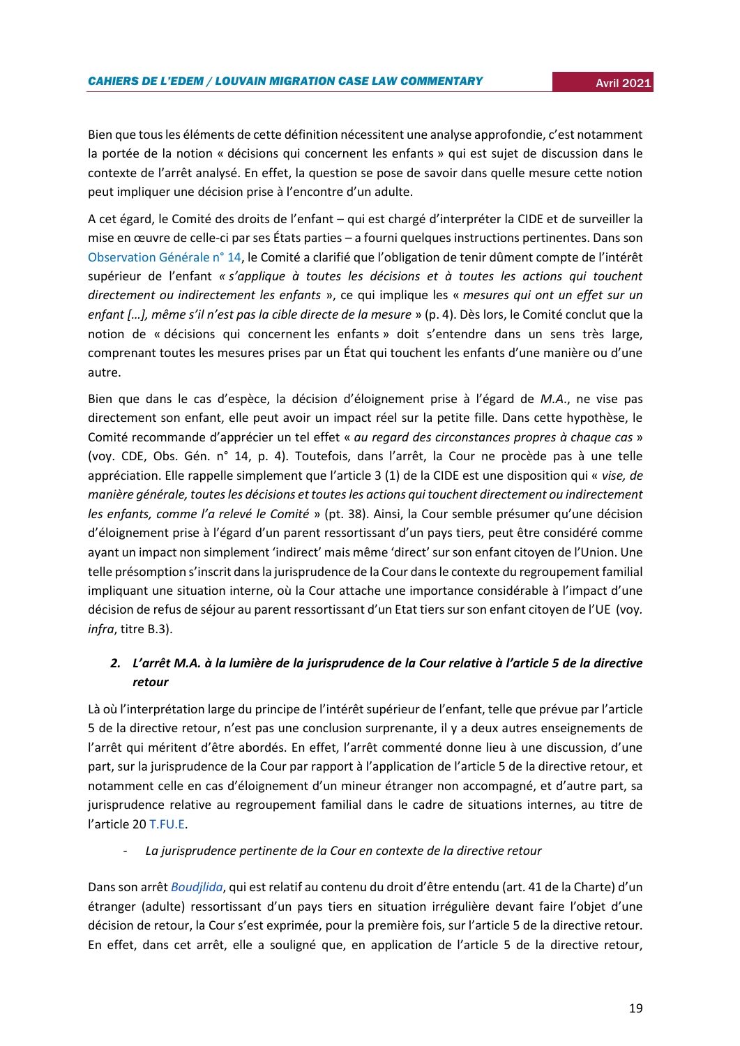Bien que tous les éléments de cette définition nécessitent une analyse approfondie, c'est notamment la portée de la notion « décisions qui concernent les enfants » qui est sujet de discussion dans le contexte de l'arrêt analysé. En effet, la question se pose de savoir dans quelle mesure cette notion peut impliquer une décision prise à l'encontre d'un adulte.

A cet égard, le Comité des droits de l'enfant – qui est chargé d'interpréter la CIDE et de surveiller la mise en œuvre de celle-ci par ses États parties – a fourni quelques instructions pertinentes. Dans son [Observation Générale n° 14,](https://docstore.ohchr.org/SelfServices/FilesHandler.ashx?enc=6QkG1d%2fPPRiCAqhKb7yhsqIkirKQZLK2M58RF%2f5F0vEAXPu5AtSWvliDPBvwUDNUcLY%2bjlY9LwV%2bqu%2f76ghnF%2baUQn2TVpxfQJuaZ63OcSIgS3GLsZmifOGAZjGqixsZ) le Comité a clarifié que l'obligation de tenir dûment compte de l'intérêt supérieur de l'enfant *« s'applique à toutes les décisions et à toutes les actions qui touchent directement ou indirectement les enfants* », ce qui implique les « *mesures qui ont un effet sur un enfant […], même s'il n'est pas la cible directe de la mesure* » (p. 4). Dès lors, le Comité conclut que la notion de « décisions qui concernent les enfants » doit s'entendre dans un sens très large, comprenant toutes les mesures prises par un État qui touchent les enfants d'une manière ou d'une autre.

Bien que dans le cas d'espèce, la décision d'éloignement prise à l'égard de *M.A*., ne vise pas directement son enfant, elle peut avoir un impact réel sur la petite fille. Dans cette hypothèse, le Comité recommande d'apprécier un tel effet « *au regard des circonstances propres à chaque cas* » (voy. CDE, Obs. Gén. n° 14, p. 4). Toutefois, dans l'arrêt, la Cour ne procède pas à une telle appréciation. Elle rappelle simplement que l'article 3 (1) de la CIDE est une disposition qui « *vise, de manière générale, toutes les décisions et toutes les actions qui touchent directement ou indirectement les enfants, comme l'a relevé le Comité* » (pt. 38). Ainsi, la Cour semble présumer qu'une décision d'éloignement prise à l'égard d'un parent ressortissant d'un pays tiers, peut être considéré comme ayant un impact non simplement 'indirect' mais même 'direct' sur son enfant citoyen de l'Union. Une telle présomption s'inscrit dans la jurisprudence de la Cour dans le contexte du regroupement familial impliquant une situation interne, où la Cour attache une importance considérable à l'impact d'une décision de refus de séjour au parent ressortissant d'un Etat tiers sur son enfant citoyen de l'UE (voy*. infra*, titre B.3).

## *2. L'arrêt M.A. à la lumière de la jurisprudence de la Cour relative à l'article 5 de la directive retour*

Là où l'interprétation large du principe de l'intérêt supérieur de l'enfant, telle que prévue par l'article 5 de la directive retour, n'est pas une conclusion surprenante, il y a deux autres enseignements de l'arrêt qui méritent d'être abordés. En effet, l'arrêt commenté donne lieu à une discussion, d'une part, sur la jurisprudence de la Cour par rapport à l'application de l'article 5 de la directive retour, et notamment celle en cas d'éloignement d'un mineur étranger non accompagné, et d'autre part, sa jurisprudence relative au regroupement familial dans le cadre de situations internes, au titre de l'article 20 [T.FU.E.](https://eur-lex.europa.eu/legal-content/FR/TXT/?uri=celex%3A12012E%2FTXT)

- *La jurisprudence pertinente de la Cour en contexte de la directive retour* 

Dans son arrêt *[Boudjlida](https://curia.europa.eu/juris/document/document.jsf?text=&docid=160563&pageIndex=0&doclang=fr&mode=lst&dir=&occ=first&part=1&cid=535914)*, qui est relatif au contenu du droit d'être entendu (art. 41 de la Charte) d'un étranger (adulte) ressortissant d'un pays tiers en situation irrégulière devant faire l'objet d'une décision de retour, la Cour s'est exprimée, pour la première fois, sur l'article 5 de la directive retour. En effet, dans cet arrêt, elle a souligné que, en application de l'article 5 de la directive retour,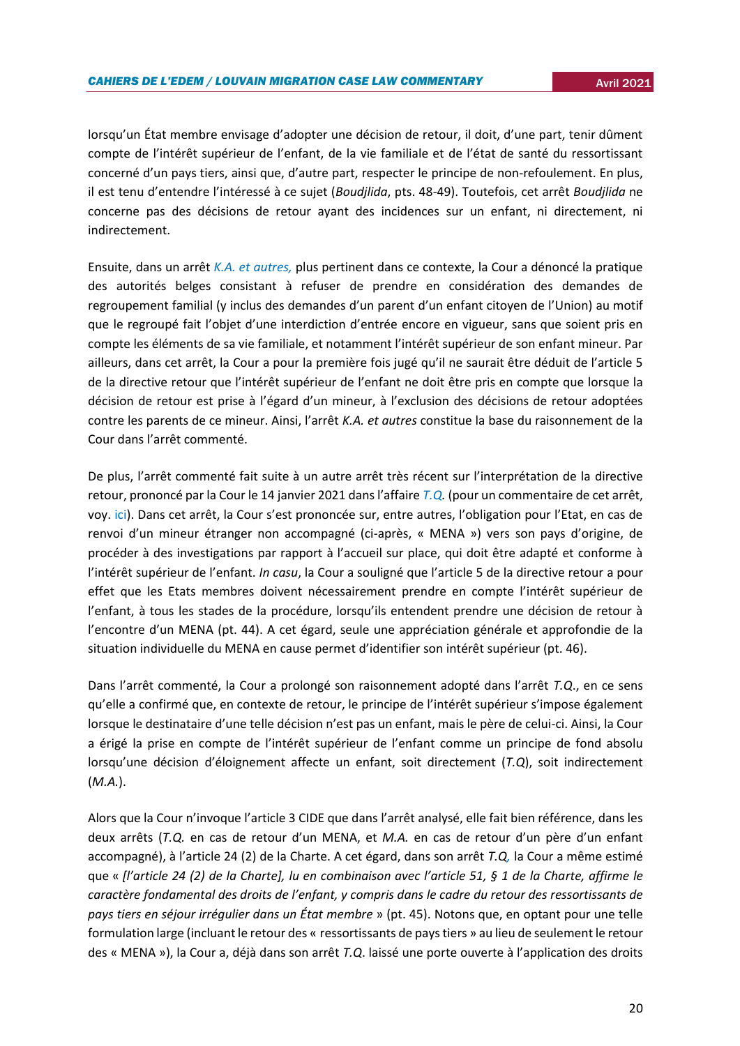lorsqu'un État membre envisage d'adopter une décision de retour, il doit, d'une part, tenir dûment compte de l'intérêt supérieur de l'enfant, de la vie familiale et de l'état de santé du ressortissant concerné d'un pays tiers, ainsi que, d'autre part, respecter le principe de non-refoulement. En plus, il est tenu d'entendre l'intéressé à ce sujet (*Boudjlida*, pts. 48-49). Toutefois, cet arrêt *Boudjlida* ne concerne pas des décisions de retour ayant des incidences sur un enfant, ni directement, ni indirectement.

Ensuite, dans un arrêt *[K.A. et autres,](https://curia.europa.eu/juris/document/document.jsf?text=&docid=201821&doclang=FR)* plus pertinent dans ce contexte, la Cour a dénoncé la pratique des autorités belges consistant à refuser de prendre en considération des demandes de regroupement familial (y inclus des demandes d'un parent d'un enfant citoyen de l'Union) au motif que le regroupé fait l'objet d'une interdiction d'entrée encore en vigueur, sans que soient pris en compte les éléments de sa vie familiale, et notamment l'intérêt supérieur de son enfant mineur. Par ailleurs, dans cet arrêt, la Cour a pour la première fois jugé qu'il ne saurait être déduit de l'article 5 de la directive retour que l'intérêt supérieur de l'enfant ne doit être pris en compte que lorsque la décision de retour est prise à l'égard d'un mineur, à l'exclusion des décisions de retour adoptées contre les parents de ce mineur. Ainsi, l'arrêt *K.A. et autres* constitue la base du raisonnement de la Cour dans l'arrêt commenté.

De plus, l'arrêt commenté fait suite à un autre arrêt très récent sur l'interprétation de la directive retour, prononcé par la Cour le 14 janvier 2021 dans l'affaire *[T.Q.](https://curia.europa.eu/juris/document/document.jsf?text=&docid=236422)* (pour un commentaire de cet arrêt, voy. [ici\)](https://uclouvain.be/fr/instituts-recherche/juri/cedie/actualites/c-j-u-e-14-janvier-2021-tq-c-441-19-eu-c-2021-9.html). Dans cet arrêt, la Cour s'est prononcée sur, entre autres, l'obligation pour l'Etat, en cas de renvoi d'un mineur étranger non accompagné (ci-après, « MENA ») vers son pays d'origine, de procéder à des investigations par rapport à l'accueil sur place, qui doit être adapté et conforme à l'intérêt supérieur de l'enfant. *In casu*, la Cour a souligné que l'article 5 de la directive retour a pour effet que les Etats membres doivent nécessairement prendre en compte l'intérêt supérieur de l'enfant, à tous les stades de la procédure, lorsqu'ils entendent prendre une décision de retour à l'encontre d'un MENA (pt. 44). A cet égard, seule une appréciation générale et approfondie de la situation individuelle du MENA en cause permet d'identifier son intérêt supérieur (pt. 46).

Dans l'arrêt commenté, la Cour a prolongé son raisonnement adopté dans l'arrêt *T.Q*., en ce sens qu'elle a confirmé que, en contexte de retour, le principe de l'intérêt supérieur s'impose également lorsque le destinataire d'une telle décision n'est pas un enfant, mais le père de celui-ci. Ainsi, la Cour a érigé la prise en compte de l'intérêt supérieur de l'enfant comme un principe de fond absolu lorsqu'une décision d'éloignement affecte un enfant, soit directement (*T.Q*), soit indirectement (*M.A.*).

Alors que la Cour n'invoque l'article 3 CIDE que dans l'arrêt analysé, elle fait bien référence, dans les deux arrêts (*T.Q.* en cas de retour d'un MENA, et *M.A.* en cas de retour d'un père d'un enfant accompagné), à l'article 24 (2) de la Charte. A cet égard, dans son arrêt *T.Q,* la Cour a même estimé que « *[l'article 24 (2) de la Charte], lu en combinaison avec l'article 51, § 1 de la Charte, affirme le caractère fondamental des droits de l'enfant, y compris dans le cadre du retour des ressortissants de pays tiers en séjour irrégulier dans un État membre* » (pt. 45). Notons que, en optant pour une telle formulation large (incluant le retour des « ressortissants de pays tiers » au lieu de seulement le retour des « MENA »), la Cour a, déjà dans son arrêt *T.Q*. laissé une porte ouverte à l'application des droits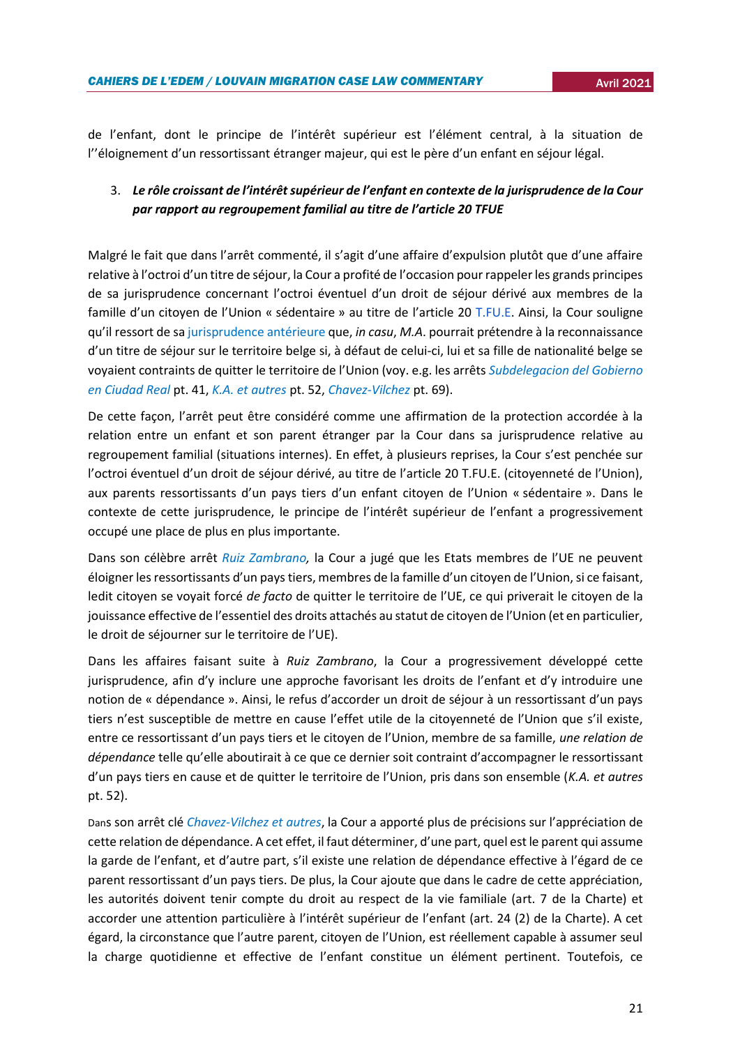de l'enfant, dont le principe de l'intérêt supérieur est l'élément central, à la situation de l''éloignement d'un ressortissant étranger majeur, qui est le père d'un enfant en séjour légal.

# 3. *Le rôle croissant de l'intérêt supérieur de l'enfant en contexte de la jurisprudence de la Cour par rapport au regroupement familial au titre de l'article 20 TFUE*

Malgré le fait que dans l'arrêt commenté, il s'agit d'une affaire d'expulsion plutôt que d'une affaire relative à l'octroi d'un titre de séjour, la Cour a profité de l'occasion pour rappeler les grands principes de sa jurisprudence concernant l'octroi éventuel d'un droit de séjour dérivé aux membres de la famille d'un citoyen de l'Union « sédentaire » au titre de l'article 20 [T.FU.E.](https://eur-lex.europa.eu/legal-content/FR/TXT/?uri=celex%3A12012E%2FTXT) Ainsi, la Cour souligne qu'il ressort de sa [jurisprudence antérieure](https://curia.europa.eu/juris/document/document.jsf?text=&docid=223844&p) que, *in casu*, *M.A*. pourrait prétendre à la reconnaissance d'un titre de séjour sur le territoire belge si, à défaut de celui-ci, lui et sa fille de nationalité belge se voyaient contraints de quitter le territoire de l'Union (voy. e.g. les arrêts *[Subdelegacion del Gobierno](https://curia.europa.eu/juris/document/document.jsf?text=&docid=223844&p)  [en Ciudad Real](https://curia.europa.eu/juris/document/document.jsf?text=&docid=223844&p)* pt. 41, *[K.A. et autres](https://curia.europa.eu/juris/document/document.jsf?text=&docid=201821&doclang=FR)* pt. 52, *[Chavez-Vilchez](https://curia.europa.eu/juris/document/document.jsf?text=&docid=190502&pageIndex=0&doclang=fr&mode=lst&dir=&occ=first&part=1&cid=2027680)* pt. 69).

De cette façon, l'arrêt peut être considéré comme une affirmation de la protection accordée à la relation entre un enfant et son parent étranger par la Cour dans sa jurisprudence relative au regroupement familial (situations internes). En effet, à plusieurs reprises, la Cour s'est penchée sur l'octroi éventuel d'un droit de séjour dérivé, au titre de l'article 20 T.FU.E. (citoyenneté de l'Union), aux parents ressortissants d'un pays tiers d'un enfant citoyen de l'Union « sédentaire ». Dans le contexte de cette jurisprudence, le principe de l'intérêt supérieur de l'enfant a progressivement occupé une place de plus en plus importante.

Dans son célèbre arrêt *[Ruiz Zambrano,](https://curia.europa.eu/juris/document/document.jsf?text=&docid=80236&pageIndex=0&doclang=FR&mode=lst&dir=&occ=first&part=1&cid=5263481)* la Cour a jugé que les Etats membres de l'UE ne peuvent éloigner les ressortissants d'un pays tiers, membres de la famille d'un citoyen de l'Union, si ce faisant, ledit citoyen se voyait forcé *de facto* de quitter le territoire de l'UE, ce qui priverait le citoyen de la jouissance effective de l'essentiel des droits attachés au statut de citoyen de l'Union (et en particulier, le droit de séjourner sur le territoire de l'UE).

Dans les affaires faisant suite à *Ruiz Zambrano*, la Cour a progressivement développé cette jurisprudence, afin d'y inclure une approche favorisant les droits de l'enfant et d'y introduire une notion de « dépendance ». Ainsi, le refus d'accorder un droit de séjour à un ressortissant d'un pays tiers n'est susceptible de mettre en cause l'effet utile de la citoyenneté de l'Union que s'il existe, entre ce ressortissant d'un pays tiers et le citoyen de l'Union, membre de sa famille, *une relation de dépendance* telle qu'elle aboutirait à ce que ce dernier soit contraint d'accompagner le ressortissant d'un pays tiers en cause et de quitter le territoire de l'Union, pris dans son ensemble (*K.A. et autres* pt. 52).

Dans son arrêt clé *[Chavez-Vilchez et autres](https://curia.europa.eu/juris/document/document.jsf?text=&docid=190502&pageIndex=0&doclang=fr&mode=lst&dir=&occ=first&part=1&cid=2027680)*, la Cour a apporté plus de précisions sur l'appréciation de cette relation de dépendance. A cet effet, il faut déterminer, d'une part, quel est le parent qui assume la garde de l'enfant, et d'autre part, s'il existe une relation de dépendance effective à l'égard de ce parent ressortissant d'un pays tiers. De plus, la Cour ajoute que dans le cadre de cette appréciation, les autorités doivent tenir compte du droit au respect de la vie familiale (art. 7 de la Charte) et accorder une attention particulière à l'intérêt supérieur de l'enfant (art. 24 (2) de la Charte). A cet égard, la circonstance que l'autre parent, citoyen de l'Union, est réellement capable à assumer seul la charge quotidienne et effective de l'enfant constitue un élément pertinent. Toutefois, ce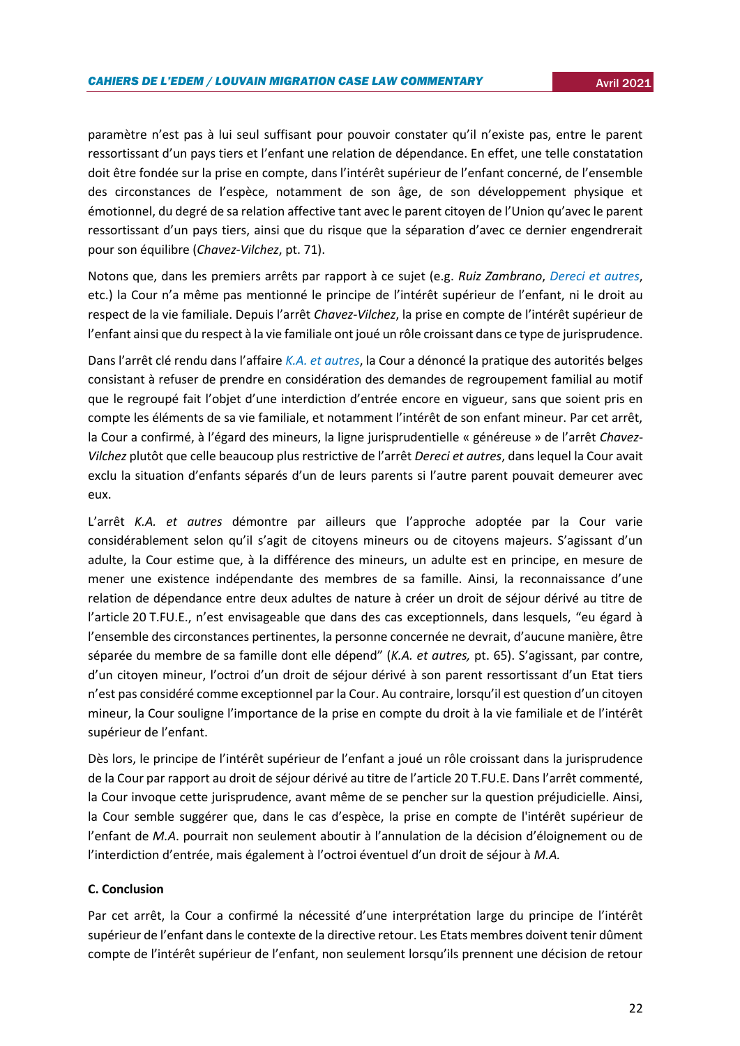paramètre n'est pas à lui seul suffisant pour pouvoir constater qu'il n'existe pas, entre le parent ressortissant d'un pays tiers et l'enfant une relation de dépendance. En effet, une telle constatation doit être fondée sur la prise en compte, dans l'intérêt supérieur de l'enfant concerné, de l'ensemble des circonstances de l'espèce, notamment de son âge, de son développement physique et émotionnel, du degré de sa relation affective tant avec le parent citoyen de l'Union qu'avec le parent ressortissant d'un pays tiers, ainsi que du risque que la séparation d'avec ce dernier engendrerait pour son équilibre (*Chavez-Vilchez*, pt. 71).

Notons que, dans les premiers arrêts par rapport à ce sujet (e.g. *Ruiz Zambrano*, *[Dereci et autres](https://curia.europa.eu/juris/document/document.jsf?text=&docid=114222&pageIndex=0&doclang=FR&mode=lst&dir=&occ=first&part=1&cid=5268414)*, etc.) la Cour n'a même pas mentionné le principe de l'intérêt supérieur de l'enfant, ni le droit au respect de la vie familiale. Depuis l'arrêt *Chavez-Vilchez*, la prise en compte de l'intérêt supérieur de l'enfant ainsi que du respect à la vie familiale ont joué un rôle croissant dans ce type de jurisprudence.

Dans l'arrêt clé rendu dans l'affaire *[K.A. et autres](https://curia.europa.eu/juris/document/document.jsf?text=&docid=201821&doclang=FR)*, la Cour a dénoncé la pratique des autorités belges consistant à refuser de prendre en considération des demandes de regroupement familial au motif que le regroupé fait l'objet d'une interdiction d'entrée encore en vigueur, sans que soient pris en compte les éléments de sa vie familiale, et notamment l'intérêt de son enfant mineur. Par cet arrêt, la Cour a confirmé, à l'égard des mineurs, la ligne jurisprudentielle « généreuse » de l'arrêt *Chavez-Vilchez* plutôt que celle beaucoup plus restrictive de l'arrêt *Dereci et autres*, dans lequel la Cour avait exclu la situation d'enfants séparés d'un de leurs parents si l'autre parent pouvait demeurer avec eux.

L'arrêt *K.A. et autres* démontre par ailleurs que l'approche adoptée par la Cour varie considérablement selon qu'il s'agit de citoyens mineurs ou de citoyens majeurs. S'agissant d'un adulte, la Cour estime que, à la différence des mineurs, un adulte est en principe, en mesure de mener une existence indépendante des membres de sa famille. Ainsi, la reconnaissance d'une relation de dépendance entre deux adultes de nature à créer un droit de séjour dérivé au titre de l'article 20 T.FU.E., n'est envisageable que dans des cas exceptionnels, dans lesquels, "eu égard à l'ensemble des circonstances pertinentes, la personne concernée ne devrait, d'aucune manière, être séparée du membre de sa famille dont elle dépend" (*K.A. et autres,* pt. 65). S'agissant, par contre, d'un citoyen mineur, l'octroi d'un droit de séjour dérivé à son parent ressortissant d'un Etat tiers n'est pas considéré comme exceptionnel par la Cour. Au contraire, lorsqu'il est question d'un citoyen mineur, la Cour souligne l'importance de la prise en compte du droit à la vie familiale et de l'intérêt supérieur de l'enfant.

Dès lors, le principe de l'intérêt supérieur de l'enfant a joué un rôle croissant dans la jurisprudence de la Cour par rapport au droit de séjour dérivé au titre de l'article 20 T.FU.E. Dans l'arrêt commenté, la Cour invoque cette jurisprudence, avant même de se pencher sur la question préjudicielle. Ainsi, la Cour semble suggérer que, dans le cas d'espèce, la prise en compte de l'intérêt supérieur de l'enfant de *M.A*. pourrait non seulement aboutir à l'annulation de la décision d'éloignement ou de l'interdiction d'entrée, mais également à l'octroi éventuel d'un droit de séjour à *M.A.*

## **C. Conclusion**

Par cet arrêt, la Cour a confirmé la nécessité d'une interprétation large du principe de l'intérêt supérieur de l'enfant dans le contexte de la directive retour. Les Etats membres doivent tenir dûment compte de l'intérêt supérieur de l'enfant, non seulement lorsqu'ils prennent une décision de retour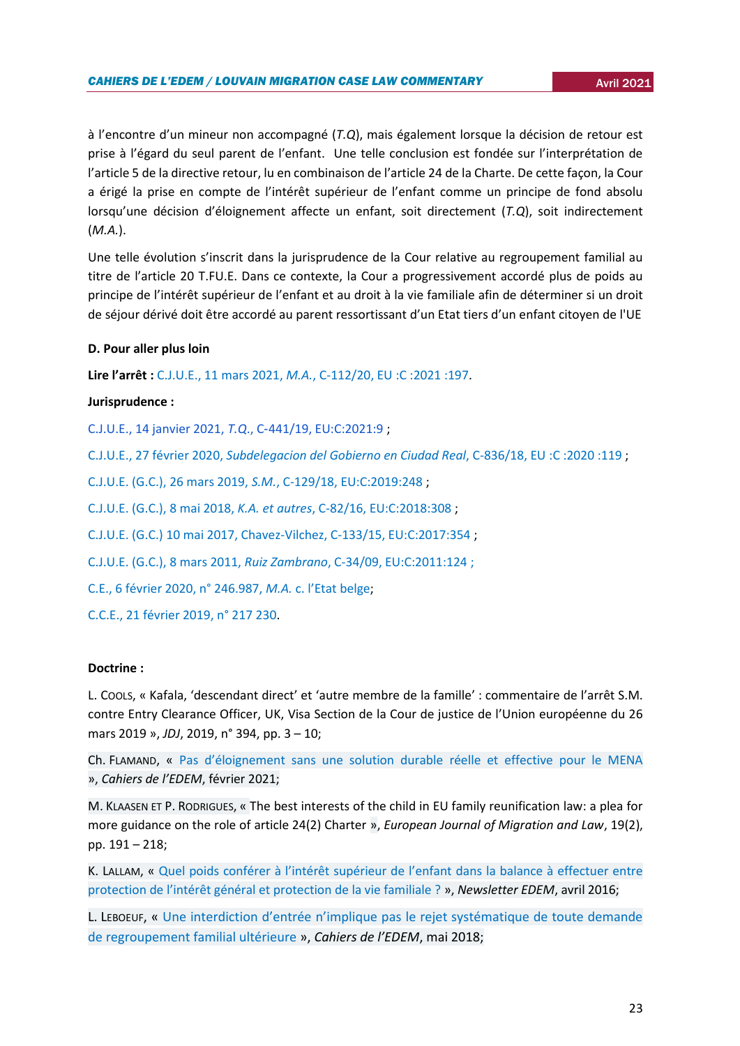à l'encontre d'un mineur non accompagné (*T.Q*), mais également lorsque la décision de retour est prise à l'égard du seul parent de l'enfant. Une telle conclusion est fondée sur l'interprétation de l'article 5 de la directive retour, lu en combinaison de l'article 24 de la Charte. De cette façon, la Cour a érigé la prise en compte de l'intérêt supérieur de l'enfant comme un principe de fond absolu lorsqu'une décision d'éloignement affecte un enfant, soit directement (*T.Q*), soit indirectement (*M.A.*).

Une telle évolution s'inscrit dans la jurisprudence de la Cour relative au regroupement familial au titre de l'article 20 T.FU.E. Dans ce contexte, la Cour a progressivement accordé plus de poids au principe de l'intérêt supérieur de l'enfant et au droit à la vie familiale afin de déterminer si un droit de séjour dérivé doit être accordé au parent ressortissant d'un Etat tiers d'un enfant citoyen de l'UE

#### **D. Pour aller plus loin**

**Lire l'arrêt :** [C.J.U.E., 11 mars 2021,](https://curia.europa.eu/juris/document/document.jsf?text=&docid=238749&pageIndex=0&doclang=fr&mode=lst&dir=&occ=first&part=1&cid=24097) *[M.A.](https://curia.europa.eu/juris/document/document.jsf?text=&docid=238749&pageIndex=0&doclang=fr&mode=lst&dir=&occ=first&part=1&cid=24097)*[, C-112/20, EU](https://curia.europa.eu/juris/document/document.jsf?text=&docid=238749&pageIndex=0&doclang=fr&mode=lst&dir=&occ=first&part=1&cid=24097) :C :2021 :197.

## **Jurisprudence :**

[C.J.U.E., 14 janvier 2021,](https://curia.europa.eu/juris/document/document.jsf?text=&docid=236422) *[T.Q](https://curia.europa.eu/juris/document/document.jsf?text=&docid=236422)*[.,](https://curia.europa.eu/juris/document/document.jsf?text=&docid=236422) C‑[441/19, EU:C:2021:9](https://curia.europa.eu/juris/document/document.jsf?text=&docid=236422) ;

[C.J.U.E., 27 février 2020,](https://curia.europa.eu/juris/document/document.jsf?text=&docid=223844&p) *[Subdelegacion del Gobierno en Ciudad Real](https://curia.europa.eu/juris/document/document.jsf?text=&docid=223844&p)*[, C-836/18, EU](https://curia.europa.eu/juris/document/document.jsf?text=&docid=223844&p) :C :2020 :119 ;

[C.J.U.E. \(G.C.\), 26 mars 2019,](https://curia.europa.eu/juris/document/document.jsf?text=&docid=212226&pageIndex=0&doclang=fr&mode=lst&dir=&occ=first&part=1&cid=2027680) *[S.M.](https://curia.europa.eu/juris/document/document.jsf?text=&docid=212226&pageIndex=0&doclang=fr&mode=lst&dir=&occ=first&part=1&cid=2027680)*[, C-129/18, EU:C:2019:248](https://curia.europa.eu/juris/document/document.jsf?text=&docid=212226&pageIndex=0&doclang=fr&mode=lst&dir=&occ=first&part=1&cid=2027680) ;

[C.J.U.E. \(G.C.\), 8 mai 2018,](https://curia.europa.eu/juris/document/document.jsf?text=&docid=201821&doclang=FR) *[K.A. et autres](https://curia.europa.eu/juris/document/document.jsf?text=&docid=201821&doclang=FR)*[, C-82/16, EU:C:2018:308](https://curia.europa.eu/juris/document/document.jsf?text=&docid=201821&doclang=FR) ;

[C.J.U.E. \(G.C.\) 10 mai 2017, Chavez-Vilchez, C-133/15, EU:C:2017:354](https://curia.europa.eu/juris/document/document.jsf?text=&docid=190502&pageIndex=0&doclang=fr&mode=lst&dir=&occ=first&part=1&cid=2027680) ;

[C.J.U.E. \(G.C.\), 8 mars 2011,](https://curia.europa.eu/juris/document/document.jsf?text=&docid=80236&pageIndex=0&doclang=FR&mode=lst&dir=&occ=first&part=1&cid=5263481) *[Ruiz Zambrano](https://curia.europa.eu/juris/document/document.jsf?text=&docid=80236&pageIndex=0&doclang=FR&mode=lst&dir=&occ=first&part=1&cid=5263481)*[, C-34/09, EU:C:2011:124](https://curia.europa.eu/juris/document/document.jsf?text=&docid=80236&pageIndex=0&doclang=FR&mode=lst&dir=&occ=first&part=1&cid=5263481) ;

[C.E., 6 février 2020, n° 246.987,](https://curia.europa.eu/juris/showPdf.jsf?text=best%2Binterests&docid=225614&pageIndex=0&doclang=FR&mode=req&dir=&occ=first&part=1&cid=5758562) *[M.A.](https://curia.europa.eu/juris/showPdf.jsf?text=best%2Binterests&docid=225614&pageIndex=0&doclang=FR&mode=req&dir=&occ=first&part=1&cid=5758562)* [c. l'Etat belge](https://curia.europa.eu/juris/showPdf.jsf?text=best%2Binterests&docid=225614&pageIndex=0&doclang=FR&mode=req&dir=&occ=first&part=1&cid=5758562);

[C.C.E., 21 février 2019, n° 217 230.](https://www.rvv-cce.be/sites/default/files/arr/a217230.an_.pdf)

#### **Doctrine :**

L. COOLS, « Kafala, 'descendant direct' et 'autre membre de la famille' : commentaire de l'arrêt S.M. contre Entry Clearance Officer, UK, Visa Section de la Cour de justice de l'Union européenne du 26 mars 2019 », *JDJ*, 2019, n° 394, pp. 3 – 10;

Ch. FLAMAND, « [Pas d'éloignement sans une solution durable réelle et effective pour le MENA](https://uclouvain.be/fr/instituts-recherche/juri/cedie/actualites/c-j-u-e-14-janvier-2021-tq-c-441-19-eu-c-2021-9.html) », *Cahiers de l'EDEM*, février 2021;

M. KLAASEN ET P. RODRIGUES, « The best interests of the child in EU family reunification law: a plea for more guidance on the role of article 24(2) Charter », *European Journal of Migration and Law*, 19(2), pp. 191 – 218;

K. LALLAM, « [Quel poids conférer à l'intérêt supérieur de l'enfant dans la balance à effectuer entre](https://uclouvain.be/fr/instituts-recherche/juri/cedie/actualites/cour-eur-d-h-8-mars-2016-i-a-a-et-autres-c-royaume-uni-req-n-25960-13.html)  protectio[n de l'intérêt général et protection de la vie familiale ?](https://uclouvain.be/fr/instituts-recherche/juri/cedie/actualites/cour-eur-d-h-8-mars-2016-i-a-a-et-autres-c-royaume-uni-req-n-25960-13.html) », *Newsletter EDEM*, avril 2016;

L. LEBOEUF, « [Une interdiction d'entrée n'implique pas le rejet systématique de toute demande](https://uclouvain.be/fr/instituts-recherche/juri/cedie/actualites/c-j-u-e-8-mai-2018-k-a-et-autres-aff-c-82-16-eu-c-2018-308.html)  [de regroupement familial ultérieure](https://uclouvain.be/fr/instituts-recherche/juri/cedie/actualites/c-j-u-e-8-mai-2018-k-a-et-autres-aff-c-82-16-eu-c-2018-308.html) », *Cahiers de l'EDEM*, mai 2018;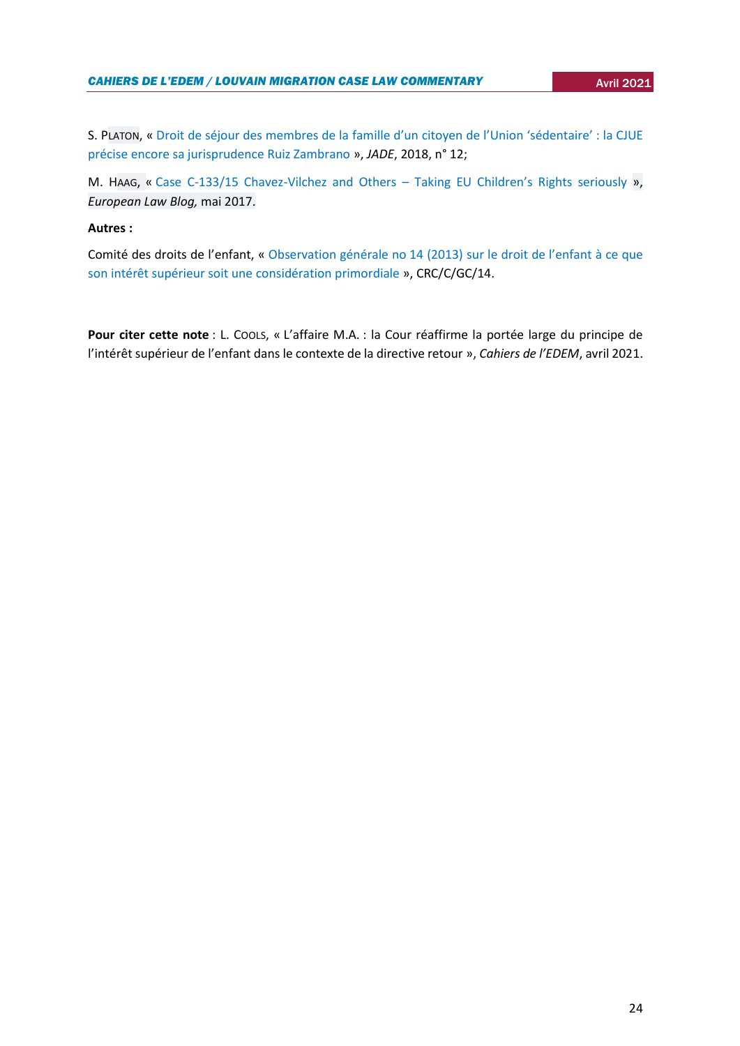S. PLATON, « Droit de séjour des membres de la fa[mille d'un citoyen de l'Union 'sédentaire'](https://revue-jade.eu/article/view/2291) : la CJUE [précise encore sa jurisprudence Ruiz Zambrano](https://revue-jade.eu/article/view/2291) », *JADE*, 2018, n° 12;

M. HAAG, « [Case C-133/15 Chavez-Vilchez and Others](https://europeanlawblog.eu/2017/05/30/case-c-13315-chavez-vilchez-and-others-taking-eu-childrens-rights-seriously/) – Taking EU Children's Rights seriously », *European Law Blog,* mai 2017.

## **Autres :**

Comité des droits de l'enfant, « [Observation générale no](https://docstore.ohchr.org/SelfServices/FilesHandler.ashx?enc=6QkG1d%2fPPRiCAqhKb7yhsqIkirKQZLK2M58RF%2f5F0vEAXPu5AtSWvliDPBvwUDNUcLY%2bjlY9LwV%2bqu%2f76ghnF%2baUQn2TVpxfQJuaZ63OcSIgS3GLsZmifOGAZjGqixsZ) 14 (2013) sur le droit de l'enfant à ce que son intérêt supérieur soit une [considération primordiale](https://docstore.ohchr.org/SelfServices/FilesHandler.ashx?enc=6QkG1d%2fPPRiCAqhKb7yhsqIkirKQZLK2M58RF%2f5F0vEAXPu5AtSWvliDPBvwUDNUcLY%2bjlY9LwV%2bqu%2f76ghnF%2baUQn2TVpxfQJuaZ63OcSIgS3GLsZmifOGAZjGqixsZ) », CRC/C/GC/14.

**Pour citer cette note** : L. COOLS, « L'affaire M.A. : la Cour réaffirme la portée large du principe de l'intérêt supérieur de l'enfant dans le contexte de la directive retour », *Cahiers de l'EDEM*, avril 2021.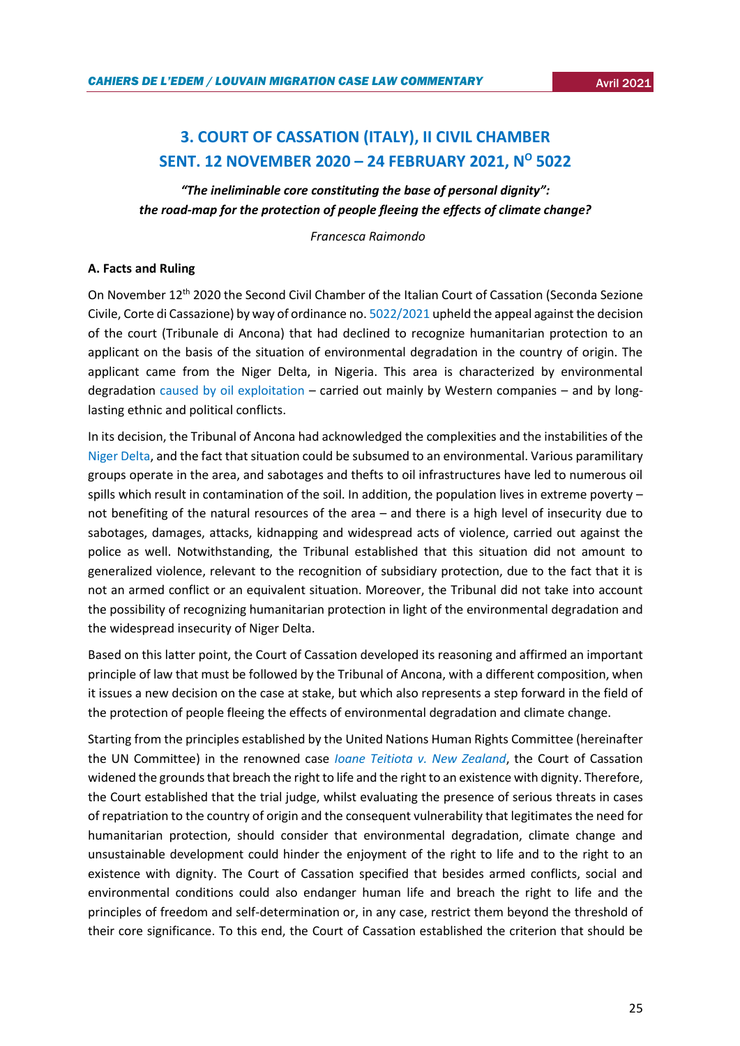# <span id="page-24-0"></span>**3. COURT OF CASSATION (ITALY), II CIVIL CHAMBER SENT. 12 NOVEMBER 2020 – 24 FEBRUARY 2021, N<sup>O</sup> 5022**

*"The ineliminable core constituting the base of personal dignity": the road-map for the protection of people fleeing the effects of climate change?*

 *Francesca Raimondo*

## **A. Facts and Ruling**

On November 12<sup>th</sup> 2020 the Second Civil Chamber of the Italian Court of Cassation (Seconda Sezione Civile, Corte di Cassazione) by way of ordinance no[. 5022/2021](http://dirittifondamentali.it/wp-content/uploads/2021/03/Cass.-civ.-5022-2021.pdf) upheld the appeal against the decision of the court (Tribunale di Ancona) that had declined to recognize humanitarian protection to an applicant on the basis of the situation of environmental degradation in the country of origin. The applicant came from the Niger Delta, in Nigeria. This area is characterized by environmental degradation [caused by oil exploitation](https://www.amnesty.org/en/latest/news/2018/03/niger-delta-oil-spills-decoders/) – carried out mainly by Western companies – and by longlasting ethnic and political conflicts.

In its decision, the Tribunal of Ancona had acknowledged the complexities and the instabilities of the [Niger Delta,](https://www.easo.europa.eu/country-guidance-nigeria/122-militant-groups-niger-delta) and the fact that situation could be subsumed to an environmental. Various paramilitary groups operate in the area, and sabotages and thefts to oil infrastructures have led to numerous oil spills which result in contamination of the soil. In addition, the population lives in extreme poverty – not benefiting of the natural resources of the area – and there is a high level of insecurity due to sabotages, damages, attacks, kidnapping and widespread acts of violence, carried out against the police as well. Notwithstanding, the Tribunal established that this situation did not amount to generalized violence, relevant to the recognition of subsidiary protection, due to the fact that it is not an armed conflict or an equivalent situation. Moreover, the Tribunal did not take into account the possibility of recognizing humanitarian protection in light of the environmental degradation and the widespread insecurity of Niger Delta.

Based on this latter point, the Court of Cassation developed its reasoning and affirmed an important principle of law that must be followed by the Tribunal of Ancona, with a different composition, when it issues a new decision on the case at stake, but which also represents a step forward in the field of the protection of people fleeing the effects of environmental degradation and climate change.

Starting from the principles established by the United Nations Human Rights Committee (hereinafter the UN Committee) in the renowned case *[Ioane Teitiota v. New Zealand](https://tbinternet.ohchr.org/_layouts/15/treatybodyexternal/Download.aspx?symbolno=CCPR/C/127/D/2728/2016&Lang=en)*, the Court of Cassation widened the grounds that breach the right to life and the right to an existence with dignity. Therefore, the Court established that the trial judge, whilst evaluating the presence of serious threats in cases of repatriation to the country of origin and the consequent vulnerability that legitimates the need for humanitarian protection, should consider that environmental degradation, climate change and unsustainable development could hinder the enjoyment of the right to life and to the right to an existence with dignity. The Court of Cassation specified that besides armed conflicts, social and environmental conditions could also endanger human life and breach the right to life and the principles of freedom and self-determination or, in any case, restrict them beyond the threshold of their core significance. To this end, the Court of Cassation established the criterion that should be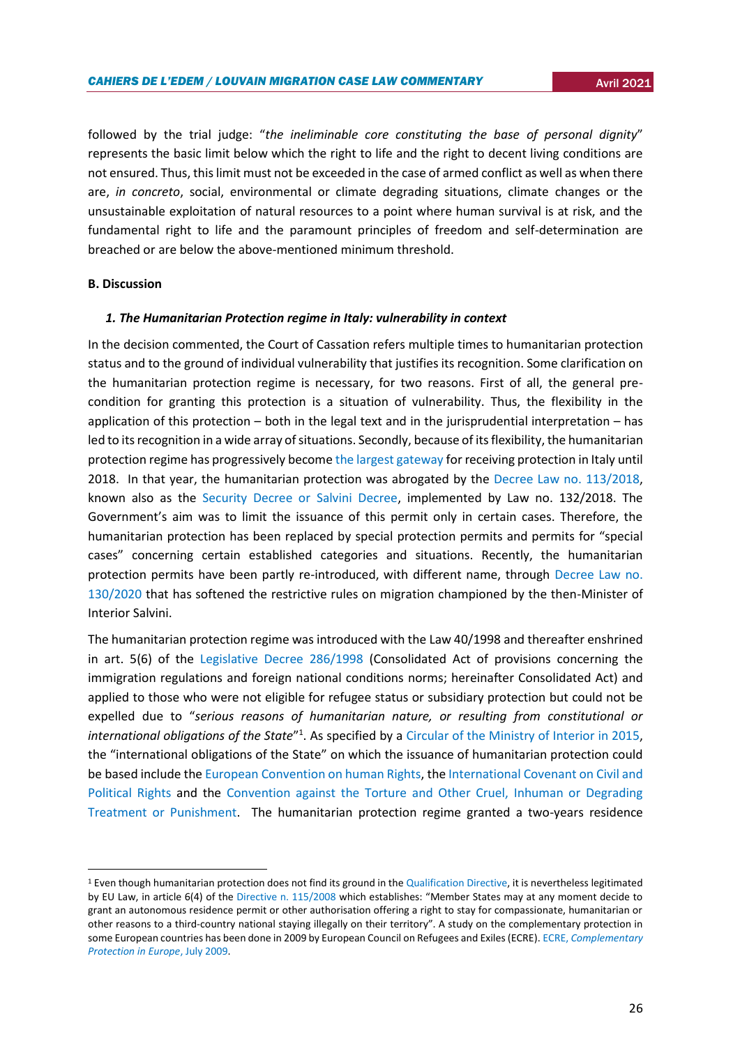followed by the trial judge: "*the ineliminable core constituting the base of personal dignity*" represents the basic limit below which the right to life and the right to decent living conditions are not ensured. Thus, this limit must not be exceeded in the case of armed conflict as well as when there are, *in concreto*, social, environmental or climate degrading situations, climate changes or the unsustainable exploitation of natural resources to a point where human survival is at risk, and the fundamental right to life and the paramount principles of freedom and self-determination are breached or are below the above-mentioned minimum threshold.

#### **B. Discussion**

**.** 

## *1. The Humanitarian Protection regime in Italy: vulnerability in context*

In the decision commented, the Court of Cassation refers multiple times to humanitarian protection status and to the ground of individual vulnerability that justifies its recognition. Some clarification on the humanitarian protection regime is necessary, for two reasons. First of all, the general precondition for granting this protection is a situation of vulnerability. Thus, the flexibility in the application of this protection – both in the legal text and in the jurisprudential interpretation – has led to its recognition in a wide array of situations. Secondly, because of its flexibility, the humanitarian protection regime has progressively becom[e the largest gateway](http://www.libertaciviliimmigrazione.dlci.interno.gov.it/it/documentazione/statistica/i-numeri-dellasilo) for receiving protection in Italy until 2018. In that year, the humanitarian protection was abrogated by the [Decree Law no. 113/2018,](https://www.gazzettaufficiale.it/eli/id/2018/10/04/18G00140/sg) known also as the [Security Decree or Salvini Decree,](https://www.ecre.org/salvini-decree-approved-by-italian-senate-amid-citizens-protests-and-institutional-criticism/) implemented by Law no. 132/2018. The Government's aim was to limit the issuance of this permit only in certain cases. Therefore, the humanitarian protection has been replaced by special protection permits and permits for "special cases" concerning certain established categories and situations. Recently, the humanitarian protection permits have been partly re-introduced, with different name, through [Decree Law no.](https://www.gazzettaufficiale.it/eli/id/2020/10/21/20G00154/sg)  [130/2020](https://www.gazzettaufficiale.it/eli/id/2020/10/21/20G00154/sg) that has softened the restrictive rules on migration championed by the then-Minister of Interior Salvini.

The humanitarian protection regime was introduced with the Law 40/1998 and thereafter enshrined in art. 5(6) of the [Legislative Decree 286/1998](https://www.normattiva.it/uri-res/N2Ls?urn:nir:stato:decreto.legislativo:1998-07-25;286) (Consolidated Act of provisions concerning the immigration regulations and foreign national conditions norms; hereinafter Consolidated Act) and applied to those who were not eligible for refugee status or subsidiary protection but could not be expelled due to "*serious reasons of humanitarian nature, or resulting from constitutional or*  international obligations of the State<sup>"1</sup>. As specified by a [Circular of the Ministry of Interior in 2015,](http://briguglio.asgi.it/immigrazione-e-asilo/2016/febbraio/circ-comm-naz-asilo-30-7-2015.pdf) the "international obligations of the State" on which the issuance of humanitarian protection could be based include the [European Convention on human Rights,](https://www.echr.coe.int/documents/convention_eng.pdf) the [International Covenant on Civil and](https://www.ohchr.org/en/professionalinterest/pages/ccpr.aspx)  [Political Rights](https://www.ohchr.org/en/professionalinterest/pages/ccpr.aspx) and the [Convention against the Torture and Other Cruel, Inhuman or Degrading](https://www.ohchr.org/en/professionalinterest/pages/cat.aspx)  [Treatment or Punishment.](https://www.ohchr.org/en/professionalinterest/pages/cat.aspx) The humanitarian protection regime granted a two-years residence

<sup>1</sup> Even though humanitarian protection does not find its ground in the [Qualification Directive,](https://eur-lex.europa.eu/legal-content/EN/TXT/?uri=celex%3A32011L0095) it is nevertheless legitimated by EU Law, in article 6(4) of the [Directive n. 115/2008](https://eur-lex.europa.eu/legal-content/EN/TXT/?uri=celex%3A32008L0115) which establishes: "Member States may at any moment decide to grant an autonomous residence permit or other authorisation offering a right to stay for compassionate, humanitarian or other reasons to a third-country national staying illegally on their territory". A study on the complementary protection in some European countries has been done in 2009 by European Council on Refugees and Exiles (ECRE). ECRE, *[Complementary](https://www.ecre.org/wp-content/uploads/2016/07/ECRE-Complementary-Protection-in-Europe_July-2009.pdf)  [Protection in Europe](https://www.ecre.org/wp-content/uploads/2016/07/ECRE-Complementary-Protection-in-Europe_July-2009.pdf)*, July 2009.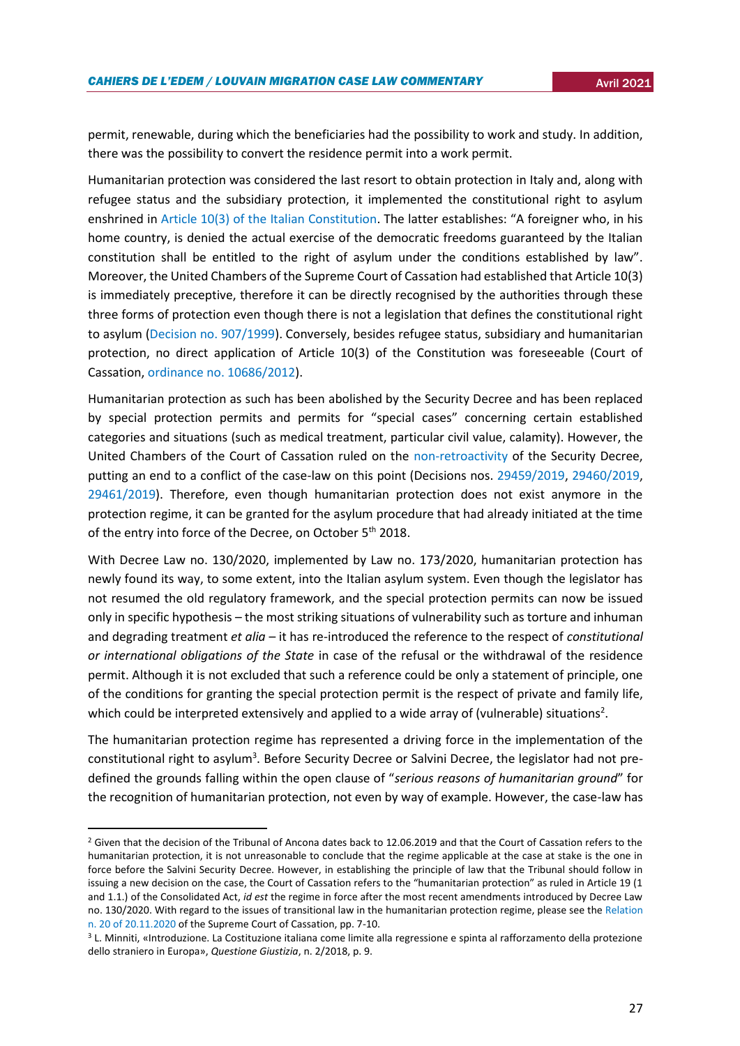permit, renewable, during which the beneficiaries had the possibility to work and study. In addition, there was the possibility to convert the residence permit into a work permit.

Humanitarian protection was considered the last resort to obtain protection in Italy and, along with refugee status and the subsidiary protection, it implemented the constitutional right to asylum enshrined in [Article 10\(3\) of the Italian Constitution](https://www.constituteproject.org/constitution/Italy_2012?lang=en). The latter establishes: "A foreigner who, in his home country, is denied the actual exercise of the democratic freedoms guaranteed by the Italian constitution shall be entitled to the right of asylum under the conditions established by law". Moreover, the United Chambers of the Supreme Court of Cassation had established that Article 10(3) is immediately preceptive, therefore it can be directly recognised by the authorities through these three forms of protection even though there is not a legislation that defines the constitutional right to asylum [\(Decision no. 907/1999\)](http://old.asgi.it/home_asgi.php%3Fn=documenti&id=2404&l=it.html). Conversely, besides refugee status, subsidiary and humanitarian protection, no direct application of Article 10(3) of the Constitution was foreseeable (Court of Cassation, [ordinance no. 10686/2012\)](http://briguglio.asgi.it/immigrazione-e-asilo/2012/settembre/ord-cass-10686-2012.pdf).

Humanitarian protection as such has been abolished by the Security Decree and has been replaced by special protection permits and permits for "special cases" concerning certain established categories and situations (such as medical treatment, particular civil value, calamity). However, the United Chambers of the Court of Cassation ruled on the [non-retroactivity](https://www.asylumlawdatabase.eu/en/content/italy-humanitarian-protection-still-relevant-those-who-applied-asylum-%E2%80%9Csalvini-decree%E2%80%9D) of the Security Decree, putting an end to a conflict of the case-law on this point (Decisions nos. [29459/2019,](https://images.go.wolterskluwer.com/Web/WoltersKluwer/%7B08722ab8-0dfa-4d42-beac-ea6cbd3488b4%7D_cassazione-civile-sezioni-unite-sentenza-29459-2019.pdf) [29460/2019,](https://www.asgi.it/wp-content/uploads/2019/11/2019_cassazione_29460.pdf) [29461/2019\)](https://sentenze.laleggepertutti.it/sentenza/cassazione-civile-n-29461-del-13-11-2019). Therefore, even though humanitarian protection does not exist anymore in the protection regime, it can be granted for the asylum procedure that had already initiated at the time of the entry into force of the Decree, on October 5<sup>th</sup> 2018.

With Decree Law no. 130/2020, implemented by Law no. 173/2020, humanitarian protection has newly found its way, to some extent, into the Italian asylum system. Even though the legislator has not resumed the old regulatory framework, and the special protection permits can now be issued only in specific hypothesis – the most striking situations of vulnerability such as torture and inhuman and degrading treatment *et alia* – it has re-introduced the reference to the respect of *constitutional or international obligations of the State* in case of the refusal or the withdrawal of the residence permit. Although it is not excluded that such a reference could be only a statement of principle, one of the conditions for granting the special protection permit is the respect of private and family life, which could be interpreted extensively and applied to a wide array of (vulnerable) situations<sup>2</sup>.

The humanitarian protection regime has represented a driving force in the implementation of the constitutional right to asylum<sup>3</sup>. Before Security Decree or Salvini Decree, the legislator had not predefined the grounds falling within the open clause of "*serious reasons of humanitarian ground*" for the recognition of humanitarian protection, not even by way of example. However, the case-law has

**.** 

<sup>&</sup>lt;sup>2</sup> Given that the decision of the Tribunal of Ancona dates back to 12.06.2019 and that the Court of Cassation refers to the humanitarian protection, it is not unreasonable to conclude that the regime applicable at the case at stake is the one in force before the Salvini Security Decree. However, in establishing the principle of law that the Tribunal should follow in issuing a new decision on the case, the Court of Cassation refers to the "humanitarian protection" as ruled in Article 19 (1 and 1.1.) of the Consolidated Act, *id est* the regime in force after the most recent amendments introduced by Decree Law no. 130/2020. With regard to the issues of transitional law in the humanitarian protection regime, please see the [Relation](https://www.meltingpot.org/IMG/pdf/rel094-2020_nov_norm_protezione_intern.le.pdf)  [n. 20 of 20.11.2020](https://www.meltingpot.org/IMG/pdf/rel094-2020_nov_norm_protezione_intern.le.pdf) of the Supreme Court of Cassation, pp. 7-10.

<sup>3</sup> L. Minniti, «Introduzione. La Costituzione italiana come limite alla regressione e spinta al rafforzamento della protezione dello straniero in Europa», *Questione Giustizia*, n. 2/2018, p. 9.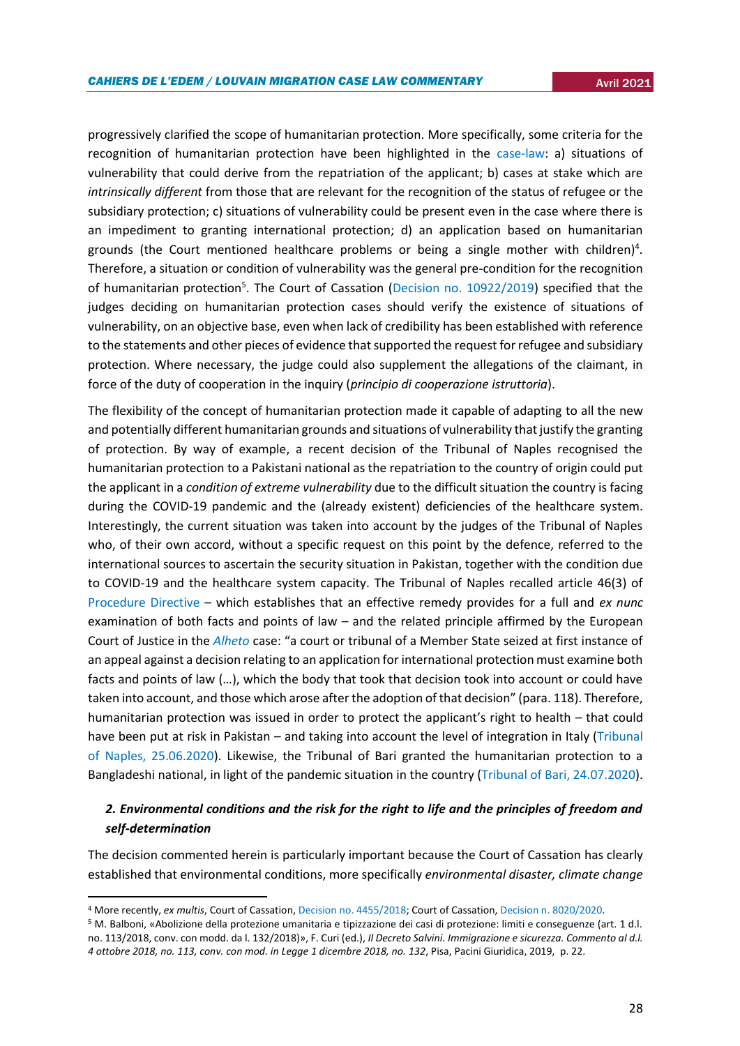progressively clarified the scope of humanitarian protection. More specifically, some criteria for the recognition of humanitarian protection have been highlighted in the [case-law:](http://briguglio.asgi.it/immigrazione-e-asilo/2016/febbraio/circ-comm-naz-asilo-30-7-2015.pdf) a) situations of vulnerability that could derive from the repatriation of the applicant; b) cases at stake which are *intrinsically different* from those that are relevant for the recognition of the status of refugee or the subsidiary protection; c) situations of vulnerability could be present even in the case where there is an impediment to granting international protection; d) an application based on humanitarian grounds (the Court mentioned healthcare problems or being a single mother with children)<sup>4</sup>. Therefore, a situation or condition of vulnerability was the general pre-condition for the recognition of humanitarian protection<sup>5</sup>. The Court of Cassation [\(Decision no. 10922/2019\)](http://www.italgiure.giustizia.it/xway/application/nif/clean/hc.dll?verbo=attach&db=snciv&id=./20190418/snciv@s10@a2019@n10922@tS.clean.pdf) specified that the judges deciding on humanitarian protection cases should verify the existence of situations of vulnerability, on an objective base, even when lack of credibility has been established with reference to the statements and other pieces of evidence that supported the request for refugee and subsidiary protection. Where necessary, the judge could also supplement the allegations of the claimant, in force of the duty of cooperation in the inquiry (*principio di cooperazione istruttoria*).

The flexibility of the concept of humanitarian protection made it capable of adapting to all the new and potentially different humanitarian grounds and situations of vulnerability that justify the granting of protection. By way of example, a recent decision of the Tribunal of Naples recognised the humanitarian protection to a Pakistani national as the repatriation to the country of origin could put the applicant in a *condition of extreme vulnerability* due to the difficult situation the country is facing during the COVID-19 pandemic and the (already existent) deficiencies of the healthcare system. Interestingly, the current situation was taken into account by the judges of the Tribunal of Naples who, of their own accord, without a specific request on this point by the defence, referred to the international sources to ascertain the security situation in Pakistan, together with the condition due to COVID-19 and the healthcare system capacity. The Tribunal of Naples recalled article 46(3) of [Procedure Directive](https://eur-lex.europa.eu/legal-content/en/ALL/?uri=celex%3A32013L0032) – which establishes that an effective remedy provides for a full and *ex nunc*  examination of both facts and points of law – and the related principle affirmed by the European Court of Justice in the *[Alheto](https://curia.europa.eu/juris/document/document.jsf?text=&docid=204382&pageIndex=0&doclang=en&mode=lst&dir=&occ=first&part=1&cid=11354865)* case: "a court or tribunal of a Member State seized at first instance of an appeal against a decision relating to an application for international protection must examine both facts and points of law (…), which the body that took that decision took into account or could have taken into account, and those which arose after the adoption of that decision" (para. 118). Therefore, humanitarian protection was issued in order to protect the applicant's right to health – that could have been put at risk in Pakistan – and taking into account the level of integration in Italy (Tribunal [of Naples, 25.06.2020\)](https://www.questionegiustizia.it/data/doc/2600/trib-napoli-umanitaria-covid-pakistan.pdf). Likewise, the Tribunal of Bari granted the humanitarian protection to a Bangladeshi national, in light of the pandemic situation in the country [\(Tribunal of Bari, 24.07.2020\)](https://www.meltingpot.org/IMG/pdf/tribunale_bari_ord_24092020.pdf).

## *2. Environmental conditions and the risk for the right to life and the principles of freedom and self-determination*

The decision commented herein is particularly important because the Court of Cassation has clearly established that environmental conditions, more specifically *environmental disaster, climate change* 

 $\overline{a}$ 

<sup>4</sup> More recently, *ex multis*, Court of Cassation[, Decision no. 4455/2018;](https://www.questionegiustizia.it/data/doc/1584/cassazione_4455_2018.pdf) Court of Cassation[, Decision n. 8020/2020.](https://www.meltingpot.org/Il-riconoscimento-della-protezione-umanitaria-deve-fondarsi.html#.YIpGQ_kzZPY) 

<sup>5</sup> M. Balboni, «Abolizione della protezione umanitaria e tipizzazione dei casi di protezione: limiti e conseguenze (art. 1 d.l. no. 113/2018, conv. con modd. da l. 132/2018)», F. Curi (ed.), *Il Decreto Salvini. Immigrazione e sicurezza. Commento al d.l. 4 ottobre 2018, no. 113, conv. con mod. in Legge 1 dicembre 2018, no. 132*, Pisa, Pacini Giuridica, 2019, p. 22.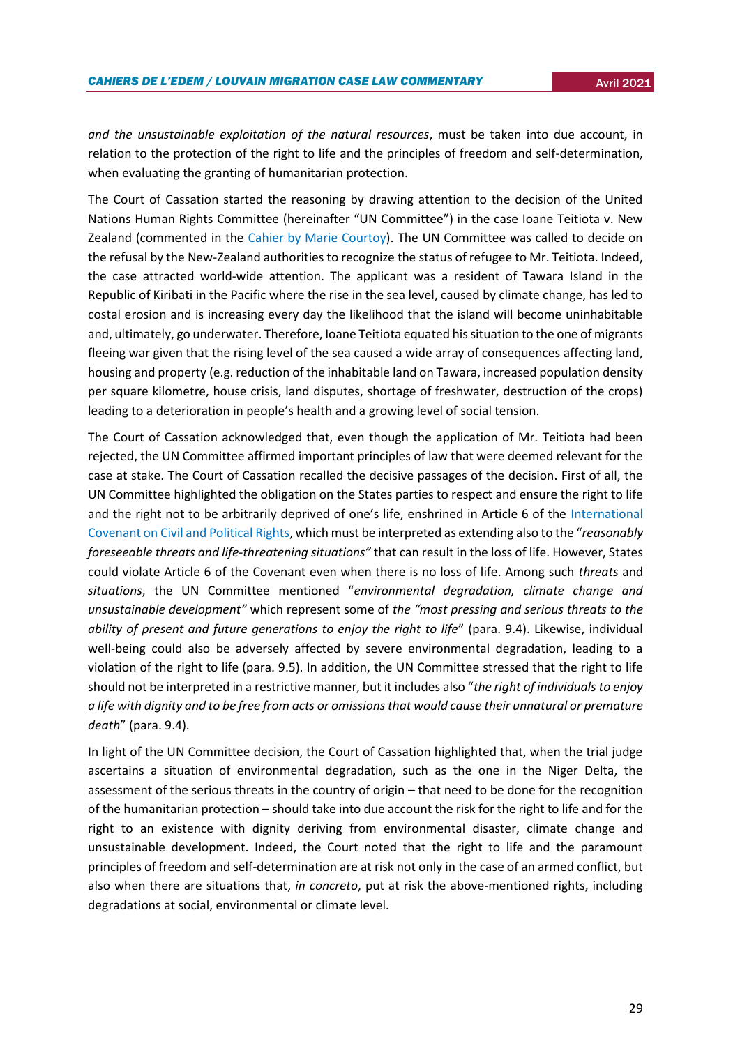*and the unsustainable exploitation of the natural resources*, must be taken into due account, in relation to the protection of the right to life and the principles of freedom and self-determination, when evaluating the granting of humanitarian protection.

The Court of Cassation started the reasoning by drawing attention to the decision of the United Nations Human Rights Committee (hereinafter "UN Committee") in the case Ioane Teitiota v. New Zealand (commented in the [Cahier by Marie Courtoy\)](https://uclouvain.be/en/research-institutes/juri/cedie/news/united-nations-human-rights-committee-views-on-communication-no-2728-2016-ioane-teitiota-v-new-zealand-october-24-2019.html). The UN Committee was called to decide on the refusal by the New-Zealand authorities to recognize the status of refugee to Mr. Teitiota. Indeed, the case attracted world-wide attention. The applicant was a resident of Tawara Island in the Republic of Kiribati in the Pacific where the rise in the sea level, caused by climate change, has led to costal erosion and is increasing every day the likelihood that the island will become uninhabitable and, ultimately, go underwater. Therefore, Ioane Teitiota equated his situation to the one of migrants fleeing war given that the rising level of the sea caused a wide array of consequences affecting land, housing and property (e.g. reduction of the inhabitable land on Tawara, increased population density per square kilometre, house crisis, land disputes, shortage of freshwater, destruction of the crops) leading to a deterioration in people's health and a growing level of social tension.

The Court of Cassation acknowledged that, even though the application of Mr. Teitiota had been rejected, the UN Committee affirmed important principles of law that were deemed relevant for the case at stake. The Court of Cassation recalled the decisive passages of the decision. First of all, the UN Committee highlighted the obligation on the States parties to respect and ensure the right to life and the right not to be arbitrarily deprived of one's life, enshrined in Article 6 of the [International](https://www.ohchr.org/en/professionalinterest/pages/ccpr.aspx)  [Covenant on Civil and Political Rights](https://www.ohchr.org/en/professionalinterest/pages/ccpr.aspx), which must be interpreted as extending also to the "*reasonably foreseeable threats and life-threatening situations"* that can result in the loss of life. However, States could violate Article 6 of the Covenant even when there is no loss of life. Among such *threats* and *situations*, the UN Committee mentioned "*environmental degradation, climate change and unsustainable development"* which represent some of *the "most pressing and serious threats to the ability of present and future generations to enjoy the right to life*" (para. 9.4). Likewise, individual well-being could also be adversely affected by severe environmental degradation, leading to a violation of the right to life (para. 9.5). In addition, the UN Committee stressed that the right to life should not be interpreted in a restrictive manner, but it includes also "*the right of individuals to enjoy a life with dignity and to be free from acts or omissions that would cause their unnatural or premature death*" (para. 9.4).

In light of the UN Committee decision, the Court of Cassation highlighted that, when the trial judge ascertains a situation of environmental degradation, such as the one in the Niger Delta, the assessment of the serious threats in the country of origin – that need to be done for the recognition of the humanitarian protection – should take into due account the risk for the right to life and for the right to an existence with dignity deriving from environmental disaster, climate change and unsustainable development. Indeed, the Court noted that the right to life and the paramount principles of freedom and self-determination are at risk not only in the case of an armed conflict, but also when there are situations that, *in concreto*, put at risk the above-mentioned rights, including degradations at social, environmental or climate level.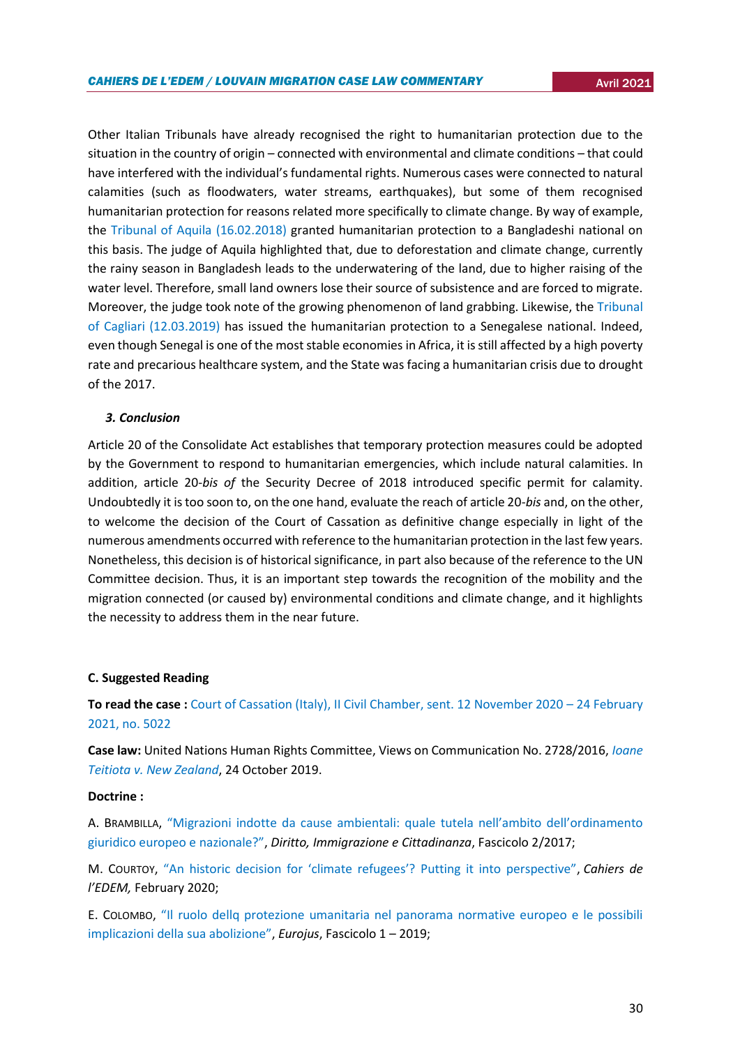Other Italian Tribunals have already recognised the right to humanitarian protection due to the situation in the country of origin – connected with environmental and climate conditions – that could have interfered with the individual's fundamental rights. Numerous cases were connected to natural calamities (such as floodwaters, water streams, earthquakes), but some of them recognised humanitarian protection for reasons related more specifically to climate change. By way of example, the [Tribunal of Aquila](https://www.dirittoimmigrazionecittadinanza.it/allegati/fascicolo-n-2-2018/umanitaria-3/245-trib-aq-16-2-2018/file) (16.02.2018) granted humanitarian protection to a Bangladeshi national on this basis. The judge of Aquila highlighted that, due to deforestation and climate change, currently the rainy season in Bangladesh leads to the underwatering of the land, due to higher raising of the water level. Therefore, small land owners lose their source of subsistence and are forced to migrate. Moreover, the judge took note of the growing phenomenon of land grabbing. Likewise, th[e Tribunal](https://www.meltingpot.org/IMG/pdf/tribunale_di_cagliari_ord_31032019.pdf)  [of Cagliari](https://www.meltingpot.org/IMG/pdf/tribunale_di_cagliari_ord_31032019.pdf) (12.03.2019) has issued the humanitarian protection to a Senegalese national. Indeed, even though Senegal is one of the most stable economies in Africa, it is still affected by a high poverty rate and precarious healthcare system, and the State was facing a humanitarian crisis due to drought of the 2017.

## *3. Conclusion*

Article 20 of the Consolidate Act establishes that temporary protection measures could be adopted by the Government to respond to humanitarian emergencies, which include natural calamities. In addition, article 20-*bis of* the Security Decree of 2018 introduced specific permit for calamity. Undoubtedly it is too soon to, on the one hand, evaluate the reach of article 20-*bis* and, on the other, to welcome the decision of the Court of Cassation as definitive change especially in light of the numerous amendments occurred with reference to the humanitarian protection in the last few years. Nonetheless, this decision is of historical significance, in part also because of the reference to the UN Committee decision. Thus, it is an important step towards the recognition of the mobility and the migration connected (or caused by) environmental conditions and climate change, and it highlights the necessity to address them in the near future.

#### **C. Suggested Reading**

**To read the case :** [Court of Cassation \(Italy\), II Civil Chamber, sent. 12 November 2020](http://dirittifondamentali.it/wp-content/uploads/2021/03/Cass.-civ.-5022-2021.pdf) – 24 February 2021, [no. 5022](http://dirittifondamentali.it/wp-content/uploads/2021/03/Cass.-civ.-5022-2021.pdf)

**Case law:** United Nations Human Rights Committee, Views on Communication No. 2728/2016, *[Ioane](https://tbinternet.ohchr.org/_layouts/15/treatybodyexternal/Download.aspx?symbolno=CCPR/C/127/D/2728/2016&Lang=en)  [Teitiota v. New Zealand](https://tbinternet.ohchr.org/_layouts/15/treatybodyexternal/Download.aspx?symbolno=CCPR/C/127/D/2728/2016&Lang=en)*, 24 October 2019.

#### **Doctrine :**

A. BRAMBILLA, ["Migrazioni indotte da cause ambientali: quale tutela nell'ambito dell'ordinamento](https://www.dirittoimmigrazionecittadinanza.it/archivio-saggi-commenti/saggi/fascicolo-2017-n-2/78-migrazioni-indotte-da-cause-ambientali-quale-tutela-nell-ambito-dell-ordinamento-giuridico-europeo-e-nazionale/file)  [giuridico europeo e nazionale?"](https://www.dirittoimmigrazionecittadinanza.it/archivio-saggi-commenti/saggi/fascicolo-2017-n-2/78-migrazioni-indotte-da-cause-ambientali-quale-tutela-nell-ambito-dell-ordinamento-giuridico-europeo-e-nazionale/file), *Diritto, Immigrazione e Cittadinanza*, Fascicolo 2/2017;

M. COURTOY, ["An historic decision for 'climate refugees'? Putting it into perspective"](https://uclouvain.be/en/research-institutes/juri/cedie/news/united-nations-human-rights-committee-views-on-communication-no-2728-2016-ioane-teitiota-v-new-zealand-october-24-2019.html), *Cahiers de l'EDEM,* February 2020;

E. COLOMBO, ["Il ruolo dellq protezione umanitaria nel panorama normative europeo e le possibili](http://www.eurojus.it/pdf/colombo-erika.docx.pdf)  [implicazioni della sua abolizione"](http://www.eurojus.it/pdf/colombo-erika.docx.pdf), *Eurojus*, Fascicolo 1 – 2019;